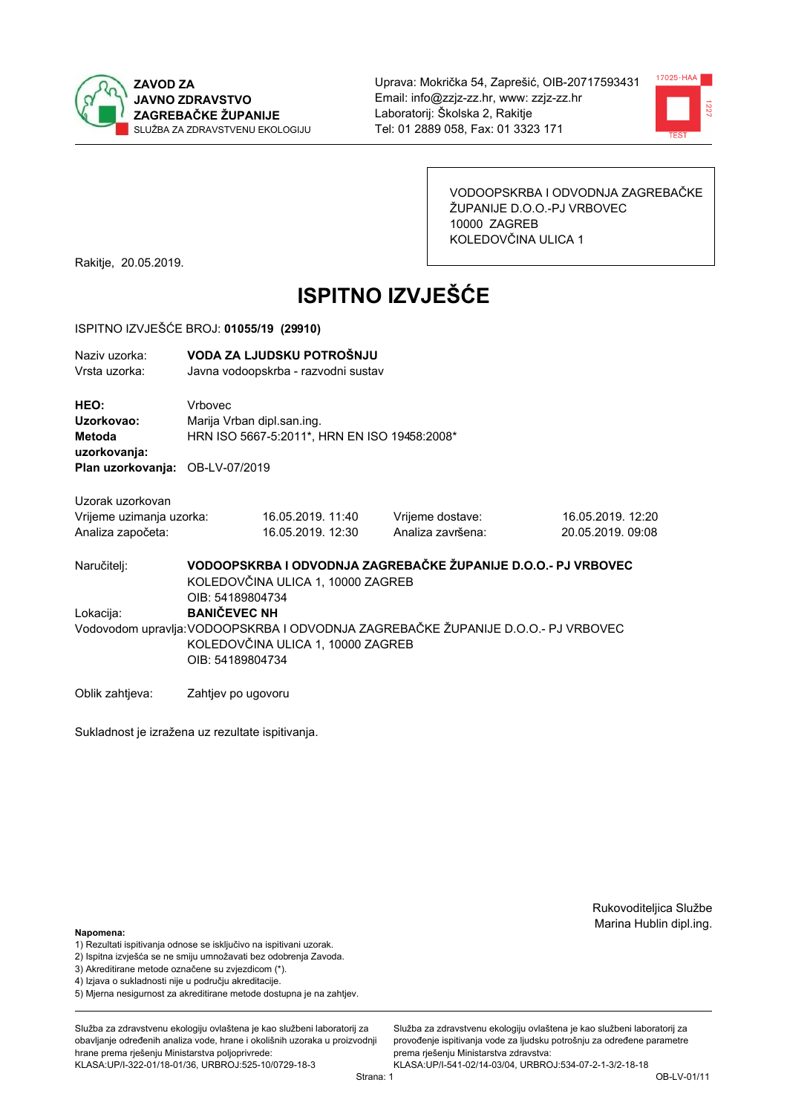



VODOOPSKRBA I ODVODNJA ZAGREBAČKE ŽUPANIJE D.O.O.-PJ VRBOVEC 10000 ZAGREB KOLEDOVČINA ULICA 1

Rakitje, 20.05.2019.

# **ISPITNO IZVJEŠĆE**

#### ISPITNO IZVJEŠĆE BROJ: 01055/19 (29910)

| Naziy uzorka:<br>Vrsta uzorka:                                    |                                                                                                                                                                                                                                                                                             | VODA ZA LJUDSKU POTROŠNJU<br>Javna vodoopskrba - razvodni sustav           |                                       |                                        |  |
|-------------------------------------------------------------------|---------------------------------------------------------------------------------------------------------------------------------------------------------------------------------------------------------------------------------------------------------------------------------------------|----------------------------------------------------------------------------|---------------------------------------|----------------------------------------|--|
| HEO:<br>Uzorkovao:<br>Metoda<br>uzorkovanja:                      | Vrbovec                                                                                                                                                                                                                                                                                     | Marija Vrban dipl.san.ing.<br>HRN ISO 5667-5:2011*, HRN EN ISO 19458:2008* |                                       |                                        |  |
| Plan uzorkovanja: OB-LV-07/2019                                   |                                                                                                                                                                                                                                                                                             |                                                                            |                                       |                                        |  |
| Uzorak uzorkovan<br>Vrijeme uzimanja uzorka:<br>Analiza započeta: |                                                                                                                                                                                                                                                                                             | 16.05.2019. 11:40<br>16.05.2019. 12:30                                     | Vrijeme dostave:<br>Analiza završena: | 16.05.2019. 12:20<br>20.05.2019, 09:08 |  |
| Naručitelj:<br>Lokacija:                                          | VODOOPSKRBA I ODVODNJA ZAGREBAČKE ŽUPANIJE D.O.O.- PJ VRBOVEC<br>KOLEDOVČINA ULICA 1, 10000 ZAGREB<br>OIB: 54189804734<br><b>BANIČEVEC NH</b><br>Vodovodom upravlja: VODOOPSKRBA I ODVODNJA ZAGREBAČKE ŽUPANIJE D.O.O.- PJ VRBOVEC<br>KOLEDOVČINA ULICA 1, 10000 ZAGREB<br>OIB: 54189804734 |                                                                            |                                       |                                        |  |

Oblik zahtjeva: Zahtjev po ugovoru

Sukladnost je izražena uz rezultate ispitivanja.

Rukovoditeljica Službe Marina Hublin dipl.ing.

#### Napomena:

- 1) Rezultati ispitivanja odnose se isključivo na ispitivani uzorak.
- 2) Ispitna izvješća se ne smiju umnožavati bez odobrenja Zavoda.
- 3) Akreditirane metode označene su zvjezdicom (\*).
- 4) Iziava o sukladnosti nije u području akreditacije.
- 5) Mjerna nesigurnost za akreditirane metode dostupna je na zahtjev.

Služba za zdravstvenu ekologiju ovlaštena je kao službeni laboratorij za obavlianie određenih analiza vode, hrane i okolišnih uzoraka u proizvodniji hrane prema rješenju Ministarstva poljoprivrede: KLASA:UP/I-322-01/18-01/36, URBROJ:525-10/0729-18-3

Služba za zdravstvenu ekologiju ovlaštena je kao službeni laboratorij za provođenie ispitivania vode za liudsku potrošniu za određene parametre prema rješenju Ministarstva zdravstva: KLASA:UP/I-541-02/14-03/04, URBROJ:534-07-2-1-3/2-18-18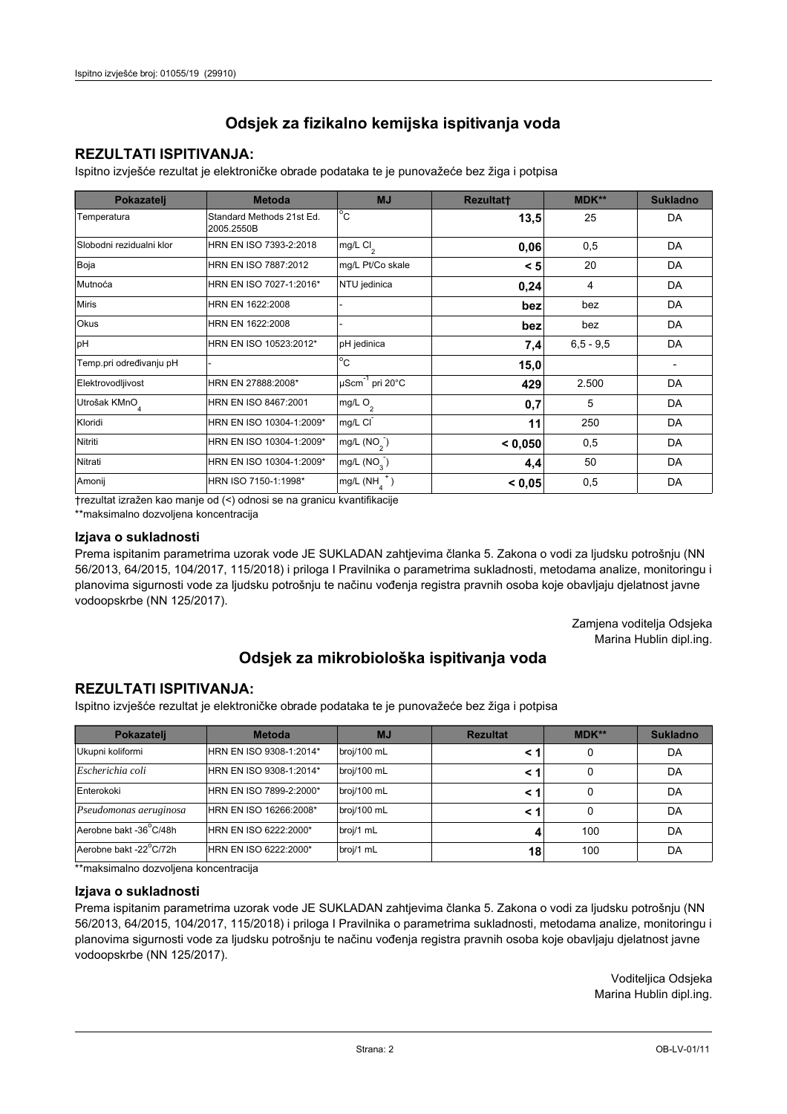## **REZULTATI ISPITIVANJA:**

Ispitno izviešće rezultat je elektroničke obrade podataka te je punovažeće bez žiga i potpisa

| Pokazatelj                | <b>Metoda</b>                           | <b>MJ</b>               | <b>Rezultatt</b> | <b>MDK**</b>  | <b>Sukladno</b> |
|---------------------------|-----------------------------------------|-------------------------|------------------|---------------|-----------------|
| Temperatura               | Standard Methods 21st Ed.<br>2005.2550B | $^{\circ}$ C            | 13,5             | 25            | DA              |
| Slobodni rezidualni klor  | HRN EN ISO 7393-2:2018                  | mg/L $Cl2$              | 0,06             | 0,5           | DA              |
| Boja                      | HRN EN ISO 7887:2012                    | mg/L Pt/Co skale        | < 5              | 20            | DA              |
| Mutnoća                   | HRN EN ISO 7027-1:2016*                 | NTU jedinica            | 0,24             | 4             | DA              |
| <b>Miris</b>              | HRN EN 1622:2008                        |                         | bez              | bez           | DA              |
| Okus                      | HRN EN 1622:2008                        |                         | bez              | bez           | DA              |
| pH                        | HRN EN ISO 10523:2012*                  | pH jedinica             | 7,4              | $6, 5 - 9, 5$ | DA              |
| Temp.pri određivanju pH   |                                         | $^{\circ}$ C            | 15,0             |               |                 |
| Elektrovodljivost         | HRN EN 27888:2008*                      | µScm-1 pri 20°C         | 429              | 2.500         | DA              |
| Utrošak KMnO <sub>4</sub> | HRN EN ISO 8467:2001                    | mg/L $O2$               | 0,7              | 5             | DA              |
| Kloridi                   | HRN EN ISO 10304-1:2009*                | mg/L CI                 | 11               | 250           | DA              |
| Nitriti                   | HRN EN ISO 10304-1:2009*                | mg/L $(NO2)$            | < 0.050          | 0,5           | DA              |
| Nitrati                   | HRN EN ISO 10304-1:2009*                | mg/L (NO <sub>3</sub> ) | 4,4              | 50            | DA              |
| Amonij                    | HRN ISO 7150-1:1998*                    | mg/L (NH                | < 0,05           | 0,5           | DA              |

trezultat izražen kao manje od (<) odnosi se na granicu kvantifikacije

\*\*maksimalno dozvoljena koncentracija

#### Izjava o sukladnosti

Prema ispitanim parametrima uzorak vode JE SUKLADAN zahtievima članka 5. Zakona o vodi za ljudsku potrošnju (NN 56/2013, 64/2015, 104/2017, 115/2018) i priloga I Pravilnika o parametrima sukladnosti, metodama analize, monitoringu i planovima sigurnosti vode za ljudsku potrošnju te načinu vođenja registra pravnih osoba koje obavljaju djelatnost javne vodoopskrbe (NN 125/2017).

> Zamjena voditelja Odsjeka Marina Hublin dipl.ing.

## Odsjek za mikrobiološka ispitivanja voda

## **REZULTATI ISPITIVANJA:**

Ispitno izvješće rezultat je elektroničke obrade podataka te je punovažeće bez žiga i potpisa

| Pokazatelj             | <b>Metoda</b>           | <b>MJ</b>   | <b>Rezultat</b> | $MDK**$ | <b>Sukladno</b> |
|------------------------|-------------------------|-------------|-----------------|---------|-----------------|
| Ukupni koliformi       | HRN EN ISO 9308-1:2014* | broj/100 mL |                 | 0       | DA              |
| Escherichia coli       | HRN EN ISO 9308-1:2014* | broj/100 mL |                 | 0       | DA              |
| Enterokoki             | HRN EN ISO 7899-2:2000* | broj/100 mL |                 | 0       | DA              |
| Pseudomonas aeruginosa | HRN EN ISO 16266:2008*  | broj/100 mL | < 1             | 0       | DA              |
| Aerobne bakt -36 C/48h | HRN EN ISO 6222:2000*   | broj/1 mL   |                 | 100     | DA              |
| Aerobne bakt -22°C/72h | HRN EN ISO 6222:2000*   | broj/1 mL   | 18              | 100     | DA              |

\*\*maksimalno dozvoljena koncentracija

#### Izjava o sukladnosti

Prema ispitanim parametrima uzorak vode JE SUKLADAN zahtjevima članka 5. Zakona o vodi za ljudsku potrošnju (NN 56/2013, 64/2015, 104/2017, 115/2018) i priloga I Pravilnika o parametrima sukladnosti, metodama analize, monitoringu i planovima sigurnosti vode za ljudsku potrošnju te načinu vođenja registra pravnih osoba koje obavljaju djelatnost javne vodoopskrbe (NN 125/2017).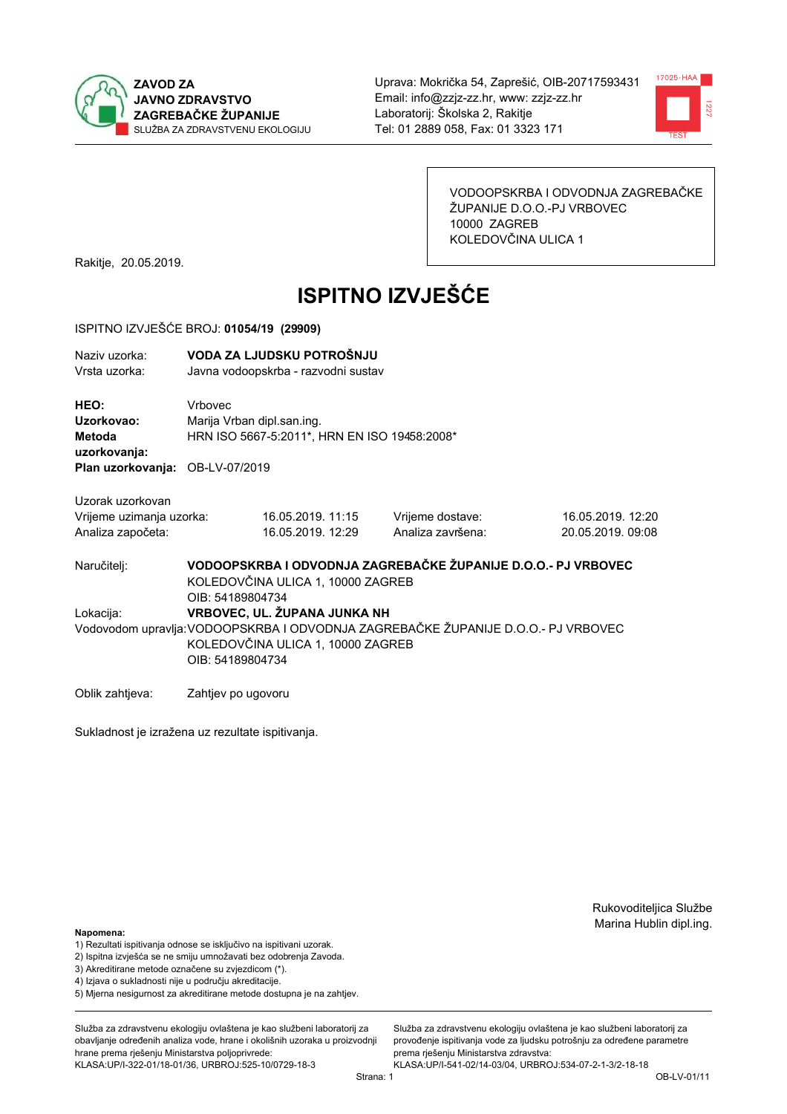



VODOOPSKRBA I ODVODNJA ZAGREBAČKE ŽUPANIJE D.O.O.-PJ VRBOVEC 10000 ZAGREB KOLEDOVČINA ULICA 1

Rakitje, 20.05.2019.

# **ISPITNO IZVJEŠĆE**

#### ISPITNO IZVJEŠĆE BROJ: 01054/19 (29909)

| Naziv uzorka:<br>Vrsta uzorka:               |                                                                                                                                            | VODA ZA LJUDSKU POTROŠNJU<br>Javna vodoopskrba - razvodni sustav                                   |                   |                   |  |  |
|----------------------------------------------|--------------------------------------------------------------------------------------------------------------------------------------------|----------------------------------------------------------------------------------------------------|-------------------|-------------------|--|--|
| HEO:<br>Uzorkovao:<br>Metoda<br>uzorkovanja: | Vrbovec                                                                                                                                    | Marija Vrban dipl.san.ing.<br>HRN ISO 5667-5:2011*, HRN EN ISO 19458:2008*                         |                   |                   |  |  |
| Plan uzorkovanja: OB-LV-07/2019              |                                                                                                                                            |                                                                                                    |                   |                   |  |  |
| Uzorak uzorkovan                             |                                                                                                                                            |                                                                                                    |                   |                   |  |  |
| Vrijeme uzimanja uzorka:                     |                                                                                                                                            | 16.05.2019. 11:15                                                                                  | Vrijeme dostave:  | 16.05.2019. 12:20 |  |  |
| Analiza započeta:                            |                                                                                                                                            | 16.05.2019. 12:29                                                                                  | Analiza završena: | 20.05.2019, 09:08 |  |  |
| Naručitelj:                                  | OIB: 54189804734                                                                                                                           | VODOOPSKRBA I ODVODNJA ZAGREBAČKE ŽUPANIJE D.O.O.- PJ VRBOVEC<br>KOLEDOVČINA ULICA 1, 10000 ZAGREB |                   |                   |  |  |
| Lokacija:                                    |                                                                                                                                            | VRBOVEC, UL. ŽUPANA JUNKA NH                                                                       |                   |                   |  |  |
|                                              | Vodovodom upravlja: VODOOPSKRBA I ODVODNJA ZAGREBAČKE ŽUPANIJE D.O.O.- PJ VRBOVEC<br>KOLEDOVČINA ULICA 1, 10000 ZAGREB<br>OIB: 54189804734 |                                                                                                    |                   |                   |  |  |
| Oblik zahtjeva:                              | Zahtjev po ugovoru                                                                                                                         |                                                                                                    |                   |                   |  |  |

Sukladnost je izražena uz rezultate ispitivanja.

Rukovoditeljica Službe Marina Hublin dipl.ing.

#### Napomena:

- 1) Rezultati ispitivanja odnose se isključivo na ispitivani uzorak.
- 2) Ispitna izvješća se ne smiju umnožavati bez odobrenja Zavoda.
- 3) Akreditirane metode označene su zvjezdicom (\*).
- 4) Iziava o sukladnosti nije u području akreditacije.
- 5) Mjerna nesigurnost za akreditirane metode dostupna je na zahtjev.

Služba za zdravstvenu ekologiju ovlaštena je kao službeni laboratorij za obavlianie određenih analiza vode, hrane i okolišnih uzoraka u proizvodniji hrane prema rješenju Ministarstva poljoprivrede: KLASA:UP/I-322-01/18-01/36, URBROJ:525-10/0729-18-3

Služba za zdravstvenu ekologiju ovlaštena je kao službeni laboratorij za provođenie ispitivania vode za liudsku potrošniu za određene parametre prema rješenju Ministarstva zdravstva: KLASA:UP/I-541-02/14-03/04, URBROJ:534-07-2-1-3/2-18-18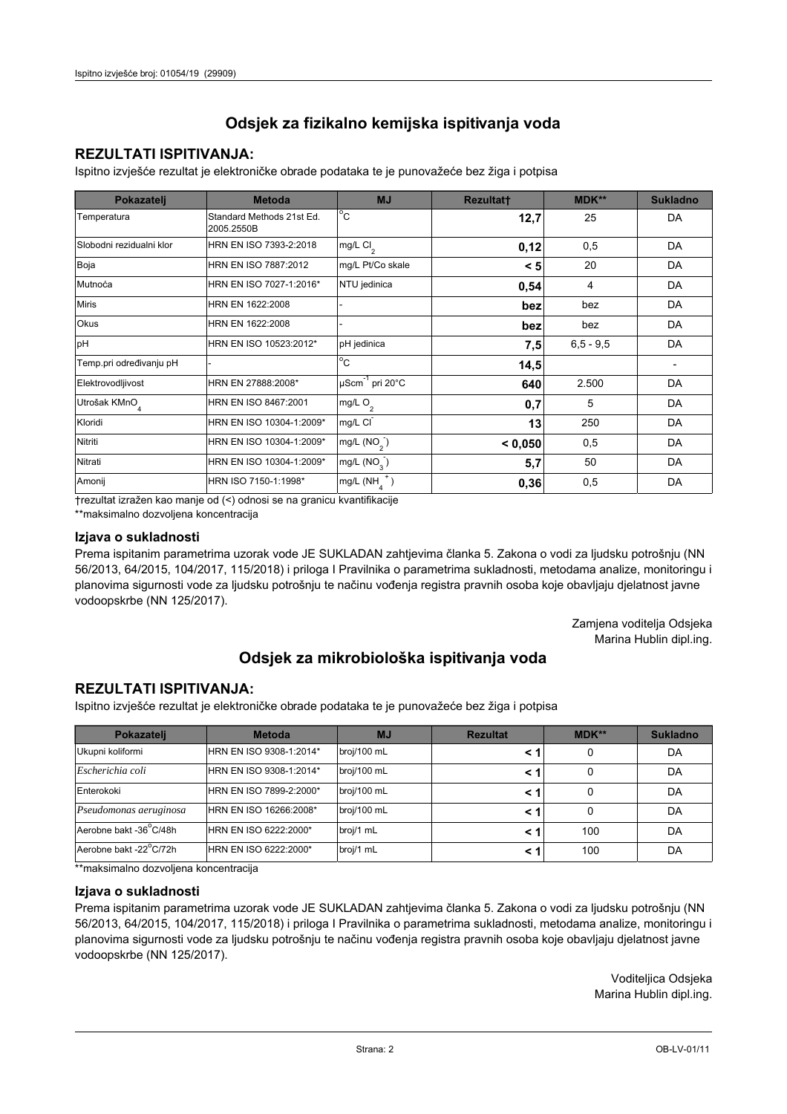## **REZULTATI ISPITIVANJA:**

Ispitno izviešće rezultat je elektroničke obrade podataka te je punovažeće bez žiga i potpisa

| Pokazatelj                | <b>Metoda</b>                           | <b>MJ</b>               | <b>Rezultatt</b> | <b>MDK**</b>  | <b>Sukladno</b> |
|---------------------------|-----------------------------------------|-------------------------|------------------|---------------|-----------------|
| Temperatura               | Standard Methods 21st Ed.<br>2005.2550B | $^{\circ}$ C            | 12,7             | 25            | DA              |
| Slobodni rezidualni klor  | HRN EN ISO 7393-2:2018                  | mg/L $Cl2$              | 0,12             | 0,5           | DA              |
| Boja                      | HRN EN ISO 7887:2012                    | mg/L Pt/Co skale        | < 5              | 20            | DA              |
| Mutnoća                   | HRN EN ISO 7027-1:2016*                 | NTU jedinica            | 0,54             | 4             | DA              |
| <b>Miris</b>              | HRN EN 1622:2008                        |                         | bez              | bez           | DA              |
| Okus                      | HRN EN 1622:2008                        |                         | bez              | bez           | DA              |
| pH                        | HRN EN ISO 10523:2012*                  | pH jedinica             | 7,5              | $6, 5 - 9, 5$ | DA              |
| Temp.pri određivanju pH   |                                         | $^{\circ}$ C            | 14,5             |               |                 |
| Elektrovodljivost         | HRN EN 27888:2008*                      | µScm-1 pri 20°C         | 640              | 2.500         | DA              |
| Utrošak KMnO <sub>4</sub> | HRN EN ISO 8467:2001                    | mg/L O <sub>2</sub>     | 0,7              | 5             | DA              |
| Kloridi                   | HRN EN ISO 10304-1:2009*                | mg/L CI                 | 13               | 250           | DA              |
| Nitriti                   | HRN EN ISO 10304-1:2009*                | mg/L $(NO2)$            | < 0.050          | 0,5           | DA              |
| Nitrati                   | HRN EN ISO 10304-1:2009*                | mg/L (NO <sub>3</sub> ) | 5,7              | 50            | DA              |
| Amonij                    | HRN ISO 7150-1:1998*                    | mg/L (NH                | 0,36             | 0,5           | DA              |

trezultat izražen kao manje od (<) odnosi se na granicu kvantifikacije

\*\*maksimalno dozvoljena koncentracija

#### Izjava o sukladnosti

Prema ispitanim parametrima uzorak vode JE SUKLADAN zahtievima članka 5. Zakona o vodi za ljudsku potrošnju (NN 56/2013, 64/2015, 104/2017, 115/2018) i priloga I Pravilnika o parametrima sukladnosti, metodama analize, monitoringu i planovima sigurnosti vode za ljudsku potrošnju te načinu vođenja registra pravnih osoba koje obavljaju djelatnost javne vodoopskrbe (NN 125/2017).

> Zamjena voditelja Odsjeka Marina Hublin dipl.ing.

## Odsjek za mikrobiološka ispitivanja voda

## **REZULTATI ISPITIVANJA:**

Ispitno izvješće rezultat je elektroničke obrade podataka te je punovažeće bez žiga i potpisa

| Pokazatelj             | <b>Metoda</b>           | <b>MJ</b>   | <b>Rezultat</b> | $MDK**$ | <b>Sukladno</b> |
|------------------------|-------------------------|-------------|-----------------|---------|-----------------|
| Ukupni koliformi       | HRN EN ISO 9308-1:2014* | broj/100 mL |                 | 0       | DA              |
| Escherichia coli       | HRN EN ISO 9308-1:2014* | broj/100 mL |                 | 0       | DA              |
| Enterokoki             | HRN EN ISO 7899-2:2000* | broj/100 mL |                 | 0       | DA              |
| Pseudomonas aeruginosa | HRN EN ISO 16266:2008*  | broj/100 mL | < 1             | 0       | DA              |
| Aerobne bakt -36 C/48h | HRN EN ISO 6222:2000*   | broj/1 mL   |                 | 100     | DA              |
| Aerobne bakt -22°C/72h | HRN EN ISO 6222:2000*   | broj/1 mL   |                 | 100     | DA              |

\*\*maksimalno dozvoljena koncentracija

#### Izjava o sukladnosti

Prema ispitanim parametrima uzorak vode JE SUKLADAN zahtjevima članka 5. Zakona o vodi za ljudsku potrošnju (NN 56/2013, 64/2015, 104/2017, 115/2018) i priloga I Pravilnika o parametrima sukladnosti, metodama analize, monitoringu i planovima sigurnosti vode za ljudsku potrošnju te načinu vođenja registra pravnih osoba koje obavljaju djelatnost javne vodoopskrbe (NN 125/2017).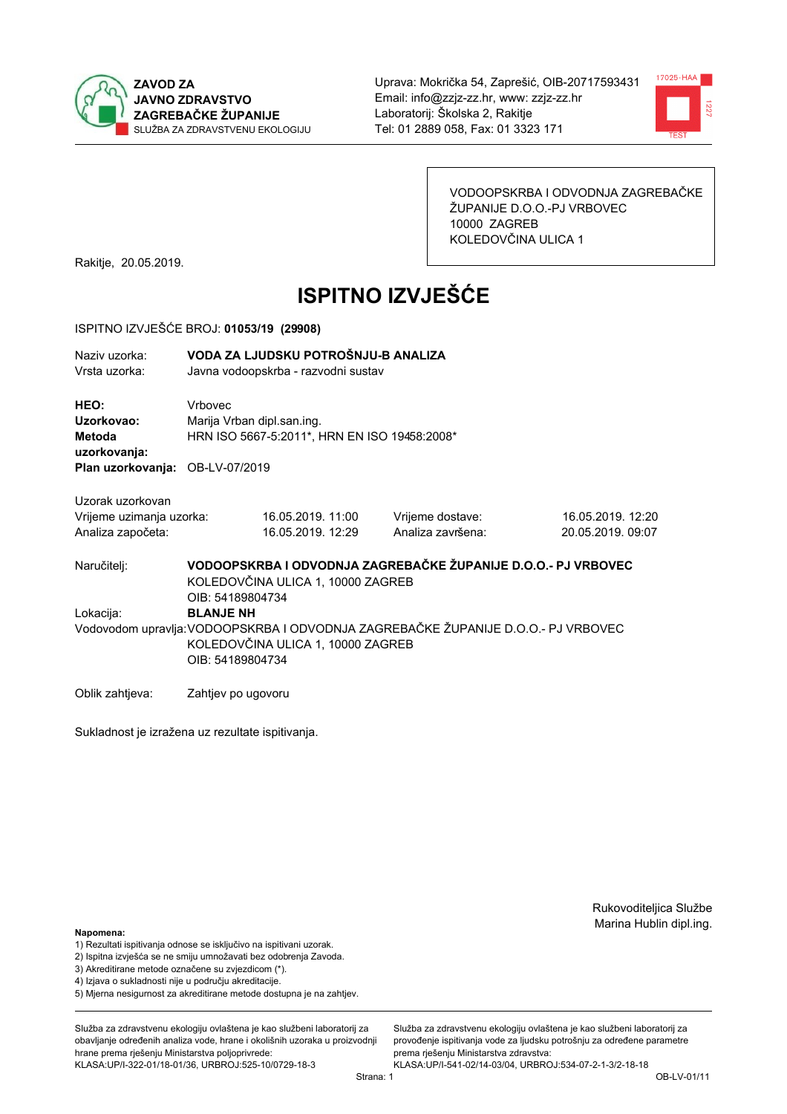



VODOOPSKRBA I ODVODNJA ZAGREBAČKE ŽUPANIJE D.O.O.-PJ VRBOVEC 10000 ZAGREB KOLEDOVČINA ULICA 1

Rakitje, 20.05.2019.

# **ISPITNO IZVJEŠĆE**

#### ISPITNO IZVJEŠĆE BROJ: 01053/19 (29908)

| Naziv uzorka:<br>Vrsta uzorka:               | VODA ZA LJUDSKU POTROŠNJU-B ANALIZA<br>Javna vodoopskrba - razvodni sustav            |
|----------------------------------------------|---------------------------------------------------------------------------------------|
| HEO:<br>Uzorkovao:<br>Metoda<br>uzorkovanja: | Vrbovec<br>Marija Vrban dipl.san.ing.<br>HRN ISO 5667-5:2011*, HRN EN ISO 19458:2008* |
| Plan uzorkovanja: OB-LV-07/2019              |                                                                                       |
| Uzorak uzorkovan                             |                                                                                       |

| Vrijeme uzimanja uzorka: | 16.05.2019. 11:00 | Vrijeme dostave:  | 16.05.2019. 12:20 |
|--------------------------|-------------------|-------------------|-------------------|
| Analiza započeta:        | 16.05.2019. 12:29 | Analiza završena: | 20.05.2019.09:07  |

VODOOPSKRBA I ODVODNJA ZAGREBAČKE ŽUPANIJE D.O.O.- PJ VRBOVEC Naručitelj: KOLEDOVČINA ULICA 1, 10000 ZAGREB OIB: 54189804734 Lokacija: **BLANJE NH** Vodovodom upravlja: VODOOPSKRBA I ODVODNJA ZAGREBAČKE ŽUPANIJE D.O.O.- PJ VRBOVEC KOLEDOVČINA ULICA 1, 10000 ZAGREB OIB: 54189804734

Oblik zahtjeva: Zahtjev po ugovoru

Sukladnost je izražena uz rezultate ispitivanja.

Rukovoditeljica Službe Marina Hublin dipl.ing.

#### Napomena:

- 1) Rezultati ispitivanja odnose se isključivo na ispitivani uzorak.
- 2) Ispitna izvješća se ne smiju umnožavati bez odobrenja Zavoda.

3) Akreditirane metode označene su zvjezdicom (\*).

- 4) Iziava o sukladnosti nije u području akreditacije.
- 5) Mjerna nesigurnost za akreditirane metode dostupna je na zahtjev.

Služba za zdravstvenu ekologiju ovlaštena je kao službeni laboratorij za obavlianie određenih analiza vode, hrane i okolišnih uzoraka u proizvodniji hrane prema rješenju Ministarstva poljoprivrede: KLASA:UP/I-322-01/18-01/36, URBROJ:525-10/0729-18-3

Služba za zdravstvenu ekologiju ovlaštena je kao službeni laboratorij za provođenie ispitivania vode za liudsku potrošniu za određene parametre prema rješenju Ministarstva zdravstva: KLASA:UP/I-541-02/14-03/04, URBROJ:534-07-2-1-3/2-18-18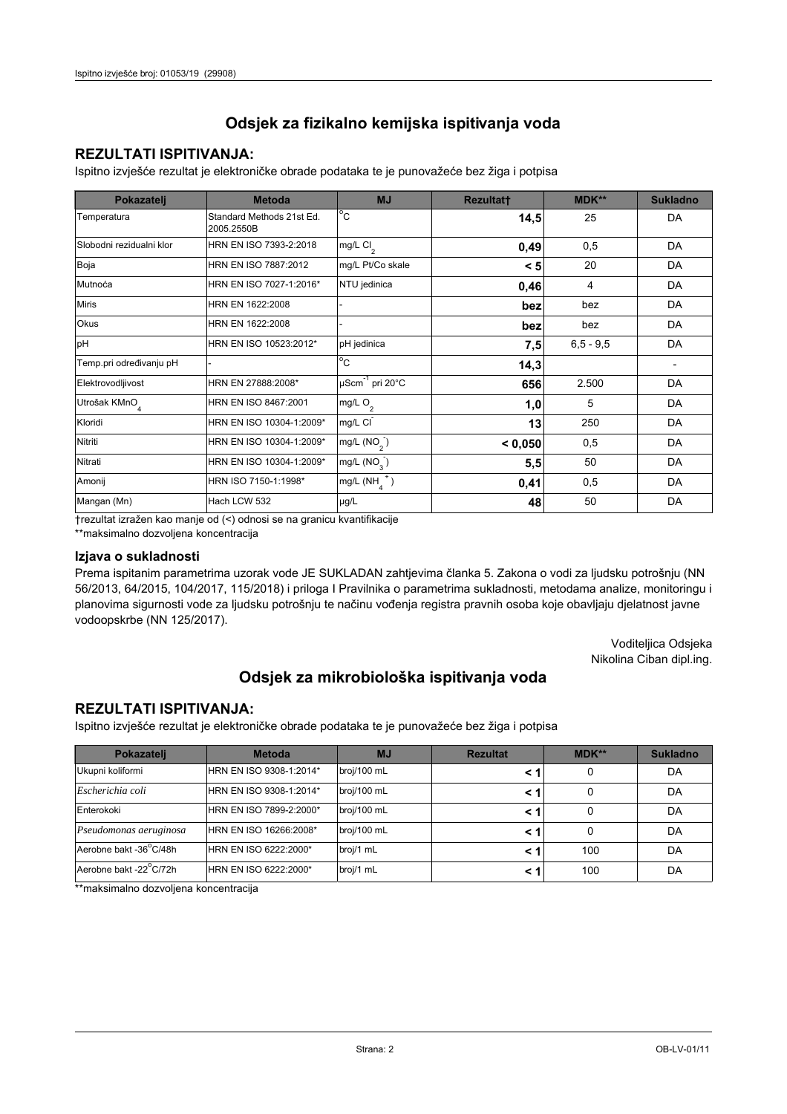### **REZULTATI ISPITIVANJA:**

Ispitno izviešće rezultat je elektroničke obrade podataka te je punovažeće bez žiga i potpisa

| Pokazatelj                | <b>Metoda</b>                           | <b>MJ</b>             | <b>Rezultatt</b> | <b>MDK**</b>  | <b>Sukladno</b>          |
|---------------------------|-----------------------------------------|-----------------------|------------------|---------------|--------------------------|
| Temperatura               | Standard Methods 21st Ed.<br>2005.2550B | $^{\circ}$ C          | 14,5             | 25            | DA                       |
| Slobodni rezidualni klor  | HRN EN ISO 7393-2:2018                  | mg/L $Cl2$            | 0,49             | 0,5           | DA                       |
| Boja                      | HRN EN ISO 7887:2012                    | mg/L Pt/Co skale      | < 5              | 20            | DA                       |
| Mutnoća                   | HRN EN ISO 7027-1:2016*                 | NTU jedinica          | 0,46             | 4             | DA                       |
| <b>Miris</b>              | HRN EN 1622:2008                        |                       | bez              | bez           | DA                       |
| Okus                      | HRN EN 1622:2008                        |                       | bez              | bez           | DA                       |
| pH                        | HRN EN ISO 10523:2012*                  | pH jedinica           | 7,5              | $6, 5 - 9, 5$ | DA                       |
| Temp.pri određivanju pH   |                                         | $^{\circ}$ C          | 14,3             |               | $\overline{\phantom{a}}$ |
| Elektrovodljivost         | HRN EN 27888:2008*                      | µScm-1 pri 20°C       | 656              | 2.500         | DA                       |
| Utrošak KMnO <sub>4</sub> | HRN EN ISO 8467:2001                    | mg/L $O_2$            | 1,0              | 5             | DA                       |
| Kloridi                   | HRN EN ISO 10304-1:2009*                | mg/L CI               | 13               | 250           | DA                       |
| Nitriti                   | HRN EN ISO 10304-1:2009*                | mg/L $(NO2)$          | < 0,050          | 0,5           | DA                       |
| Nitrati                   | HRN EN ISO 10304-1:2009*                | mg/L $(NO_{\rm q}^-)$ | 5,5              | 50            | DA                       |
| Amonij                    | HRN ISO 7150-1:1998*                    | $mg/L(NH_4^+)$        | 0,41             | 0,5           | DA                       |
| Mangan (Mn)               | Hach LCW 532                            | µg/L                  | 48               | 50            | DA                       |

trezultat izražen kao manje od (<) odnosi se na granicu kvantifikacije

\*\*maksimalno dozvoljena koncentracija

#### Izjava o sukladnosti

Prema ispitanim parametrima uzorak vode JE SUKLADAN zahtjevima članka 5. Zakona o vodi za ljudsku potrošnju (NN 56/2013, 64/2015, 104/2017, 115/2018) i priloga I Pravilnika o parametrima sukladnosti, metodama analize, monitoringu i planovima sigurnosti vode za ljudsku potrošnju te načinu vođenja registra pravnih osoba koje obavljaju djelatnost javne vodoopskrbe (NN 125/2017).

> Voditeljica Odsjeka Nikolina Ciban dipl.ing.

## Odsjek za mikrobiološka ispitivanja voda

### **REZULTATI ISPITIVANJA:**

Ispitno izvješće rezultat je elektroničke obrade podataka te je punovažeće bez žiga i potpisa

| Pokazatelj             | <b>Metoda</b>           | <b>MJ</b>   | <b>Rezultat</b> | <b>MDK**</b> | <b>Sukladno</b> |
|------------------------|-------------------------|-------------|-----------------|--------------|-----------------|
| Ukupni koliformi       | HRN EN ISO 9308-1:2014* | broj/100 mL |                 | 0            | DA              |
| Escherichia coli       | HRN EN ISO 9308-1:2014* | broj/100 mL | < 1             | 0            | DA              |
| Enterokoki             | HRN EN ISO 7899-2:2000* | broj/100 mL |                 |              | DA              |
| Pseudomonas aeruginosa | HRN EN ISO 16266:2008*  | broj/100 mL | < 1             | 0            | DA              |
| Aerobne bakt -36°C/48h | HRN EN ISO 6222:2000*   | broj/1 mL   | < '             | 100          | DA              |
| Aerobne bakt -22°C/72h | HRN EN ISO 6222:2000*   | broj/1 mL   | < 1             | 100          | DA              |

\*\*maksimalno dozvoljena koncentracija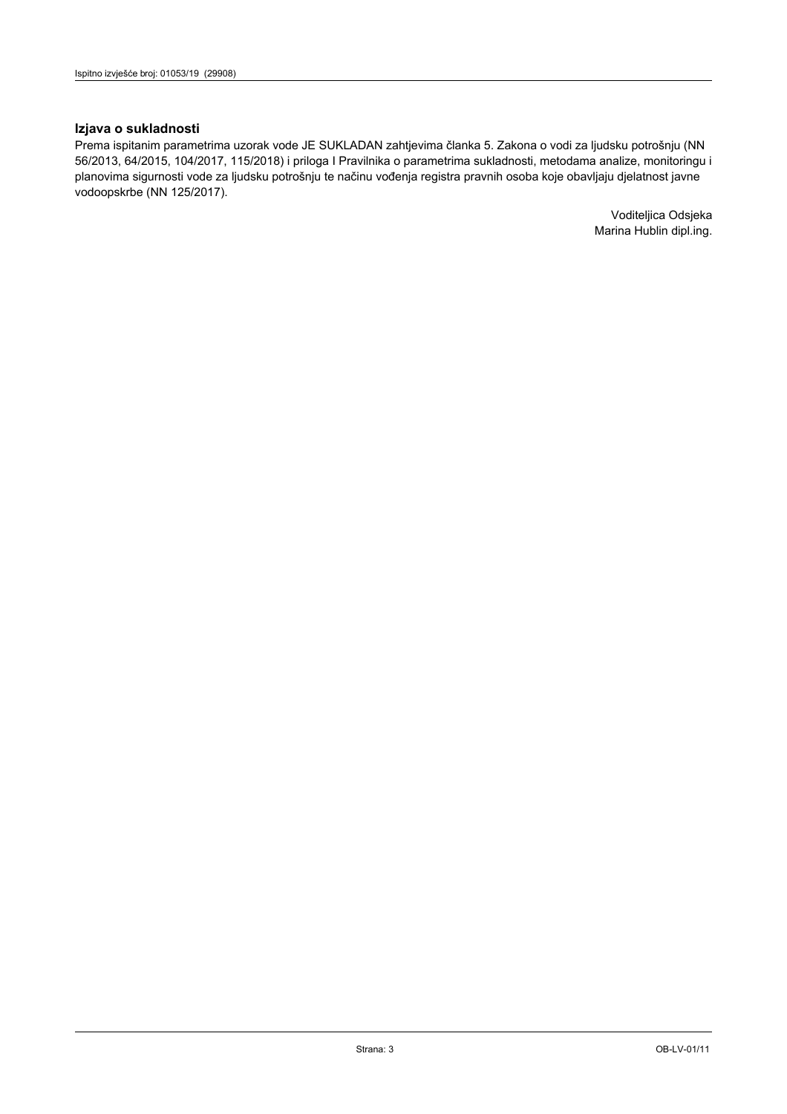#### Izjava o sukladnosti

Prema ispitanim parametrima uzorak vode JE SUKLADAN zahtjevima članka 5. Zakona o vodi za ljudsku potrošnju (NN 56/2013, 64/2015, 104/2017, 115/2018) i priloga I Pravilnika o parametrima sukladnosti, metodama analize, monitoringu i planovima sigurnosti vode za ljudsku potrošnju te načinu vođenja registra pravnih osoba koje obavljaju djelatnost javne vodoopskrbe (NN 125/2017).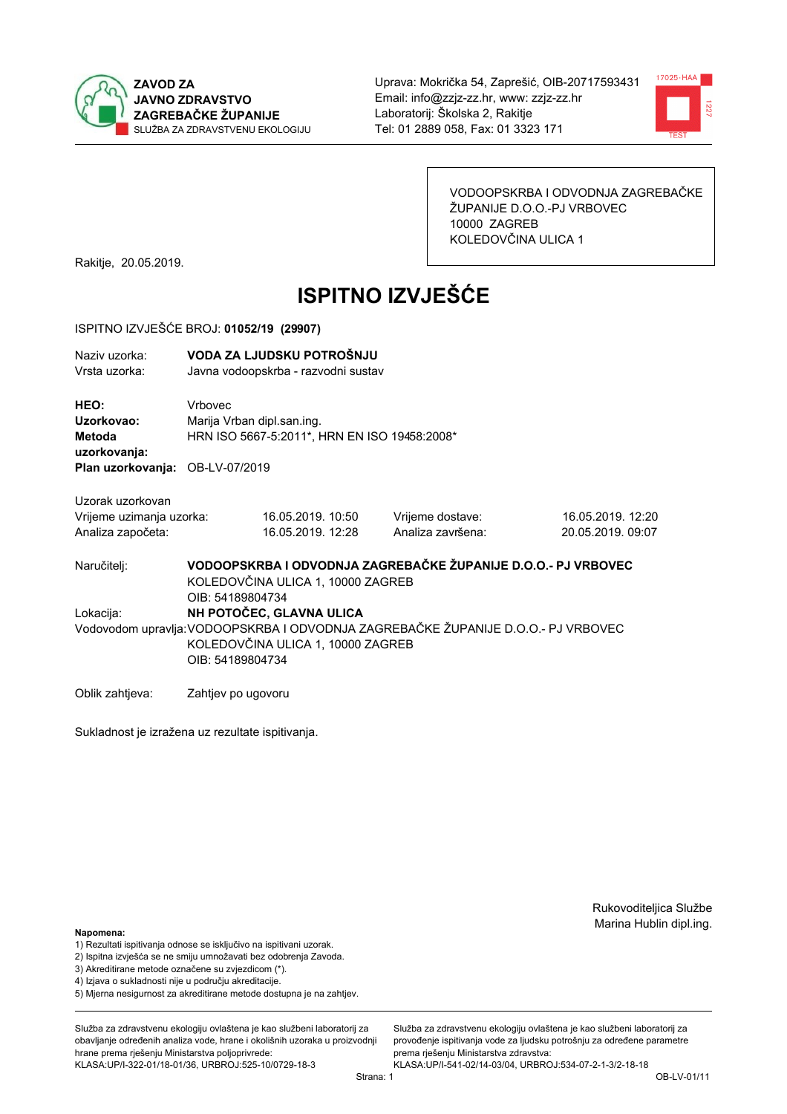



VODOOPSKRBA I ODVODNJA ZAGREBAČKE ŽUPANIJE D.O.O.-PJ VRBOVEC 10000 ZAGREB KOLEDOVČINA ULICA 1

Rakitje, 20.05.2019.

# **ISPITNO IZVJEŠĆE**

#### ISPITNO IZVJEŠĆE BROJ: 01052/19 (29907)

| Naziv uzorka:<br>Vrsta uzorka:                                                  |                                                                                                                                                                        | VODA ZA LJUDSKU POTROŠNJU<br>Javna vodoopskrba - razvodni sustav           |                                       |                                        |  |
|---------------------------------------------------------------------------------|------------------------------------------------------------------------------------------------------------------------------------------------------------------------|----------------------------------------------------------------------------|---------------------------------------|----------------------------------------|--|
| HEO:<br>Uzorkovao:<br>Metoda<br>uzorkovanja:<br>Plan uzorkovanja: OB-LV-07/2019 | Vrbovec                                                                                                                                                                | Marija Vrban dipl.san.ing.<br>HRN ISO 5667-5:2011*, HRN EN ISO 19458:2008* |                                       |                                        |  |
| Uzorak uzorkovan<br>Vrijeme uzimanja uzorka:<br>Analiza započeta:               |                                                                                                                                                                        | 16.05.2019. 10:50<br>16.05.2019. 12:28                                     | Vrijeme dostave:<br>Analiza završena: | 16.05.2019. 12:20<br>20.05.2019, 09:07 |  |
| Naručitelj:                                                                     | VODOOPSKRBA I ODVODNJA ZAGREBAČKE ŽUPANIJE D.O.O.- PJ VRBOVEC<br>KOLEDOVČINA ULICA 1, 10000 ZAGREB<br>OIB: 54189804734                                                 |                                                                            |                                       |                                        |  |
| Lokacija:                                                                       | NH POTOČEC, GLAVNA ULICA<br>Vodovodom upravlja: VODOOPSKRBA I ODVODNJA ZAGREBAČKE ŽUPANIJE D.O.O.- PJ VRBOVEC<br>KOLEDOVČINA ULICA 1, 10000 ZAGREB<br>OIB: 54189804734 |                                                                            |                                       |                                        |  |
| Oblik zahtjeva:                                                                 | Zahtjev po ugovoru                                                                                                                                                     |                                                                            |                                       |                                        |  |

Sukladnost je izražena uz rezultate ispitivanja.

Rukovoditeljica Službe Marina Hublin dipl.ing.

#### Napomena:

- 1) Rezultati ispitivanja odnose se isključivo na ispitivani uzorak.
- 2) Ispitna izvješća se ne smiju umnožavati bez odobrenja Zavoda.
- 3) Akreditirane metode označene su zvjezdicom (\*).
- 4) Iziava o sukladnosti nije u područiu akreditacije.
- 5) Mjerna nesigurnost za akreditirane metode dostupna je na zahtjev.

Služba za zdravstvenu ekologiju ovlaštena je kao službeni laboratorij za obavljanje određenih analiza vode, hrane i okolišnih uzoraka u proizvodniji hrane prema rješenju Ministarstva poljoprivrede: KLASA:UP/I-322-01/18-01/36, URBROJ:525-10/0729-18-3

Služba za zdravstvenu ekologiju ovlaštena je kao službeni laboratorij za provođenie ispitivania vode za liudsku potrošniu za određene parametre prema rješenju Ministarstva zdravstva: KLASA:UP/I-541-02/14-03/04, URBROJ:534-07-2-1-3/2-18-18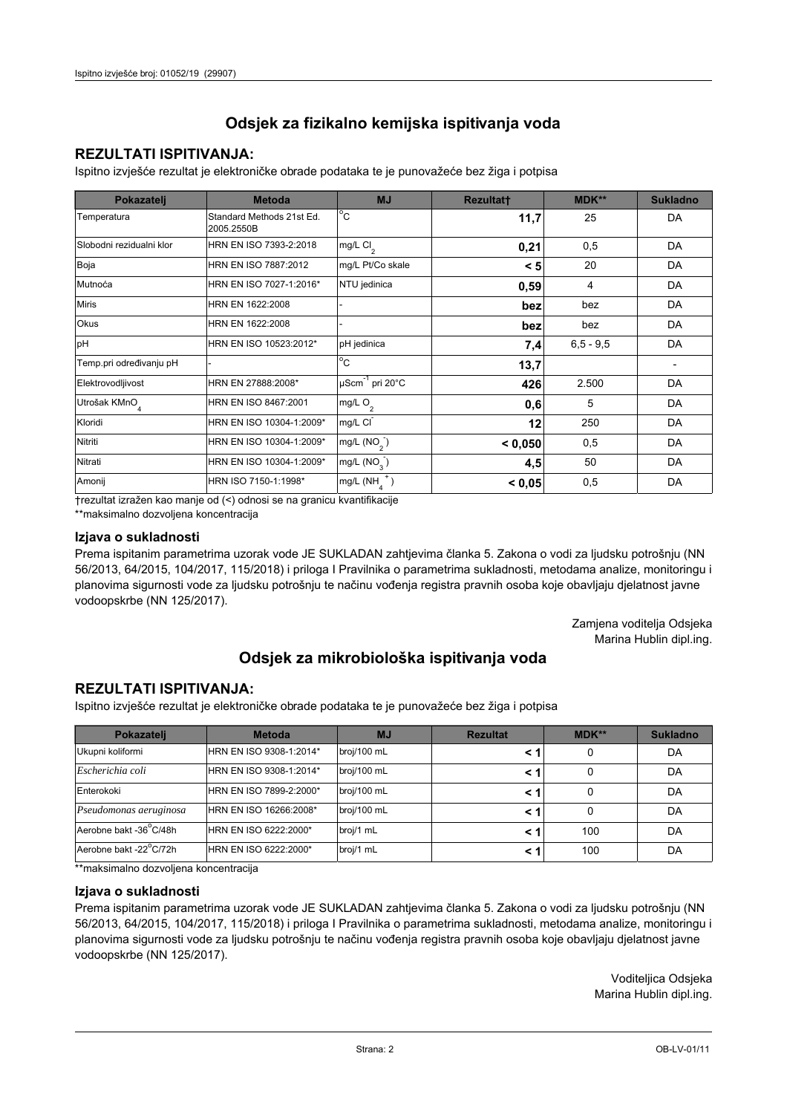## **REZULTATI ISPITIVANJA:**

Ispitno izviešće rezultat je elektroničke obrade podataka te je punovažeće bez žiga i potpisa

| Pokazatelj                | <b>Metoda</b>                           | <b>MJ</b>               | <b>Rezultatt</b> | <b>MDK**</b>  | <b>Sukladno</b> |
|---------------------------|-----------------------------------------|-------------------------|------------------|---------------|-----------------|
| Temperatura               | Standard Methods 21st Ed.<br>2005.2550B | $^{\circ}$ C            | 11,7             | 25            | DA              |
| Slobodni rezidualni klor  | HRN EN ISO 7393-2:2018                  | $mg/L$ Cl <sub>2</sub>  | 0,21             | 0,5           | DA              |
| Boja                      | HRN EN ISO 7887:2012                    | mg/L Pt/Co skale        | < 5              | 20            | DA              |
| Mutnoća                   | HRN EN ISO 7027-1:2016*                 | NTU jedinica            | 0,59             | 4             | DA              |
| <b>Miris</b>              | HRN EN 1622:2008                        |                         | bez              | bez           | DA              |
| Okus                      | HRN EN 1622:2008                        |                         | bez              | bez           | DA              |
| pH                        | HRN EN ISO 10523:2012*                  | pH jedinica             | 7,4              | $6, 5 - 9, 5$ | DA              |
| Temp.pri određivanju pH   |                                         | $^{\circ}$ C            | 13,7             |               |                 |
| Elektrovodljivost         | HRN EN 27888:2008*                      | µScm-1 pri 20°C         | 426              | 2.500         | DA              |
| Utrošak KMnO <sub>4</sub> | HRN EN ISO 8467:2001                    | mg/L O <sub>2</sub>     | 0,6              | 5             | DA              |
| Kloridi                   | HRN EN ISO 10304-1:2009*                | mg/L CI                 | 12               | 250           | DA              |
| Nitriti                   | HRN EN ISO 10304-1:2009*                | mg/L $(NO2)$            | < 0.050          | 0,5           | DA              |
| Nitrati                   | HRN EN ISO 10304-1:2009*                | mg/L (NO <sub>3</sub> ) | 4,5              | 50            | DA              |
| Amonij                    | HRN ISO 7150-1:1998*                    | mg/L (NH                | < 0,05           | 0,5           | DA              |

trezultat izražen kao manje od (<) odnosi se na granicu kvantifikacije

\*\*maksimalno dozvoljena koncentracija

#### Izjava o sukladnosti

Prema ispitanim parametrima uzorak vode JE SUKLADAN zahtievima članka 5. Zakona o vodi za ljudsku potrošnju (NN 56/2013, 64/2015, 104/2017, 115/2018) i priloga I Pravilnika o parametrima sukladnosti, metodama analize, monitoringu i planovima sigurnosti vode za ljudsku potrošnju te načinu vođenja registra pravnih osoba koje obavljaju djelatnost javne vodoopskrbe (NN 125/2017).

> Zamjena voditelja Odsjeka Marina Hublin dipl.ing.

## Odsjek za mikrobiološka ispitivanja voda

## **REZULTATI ISPITIVANJA:**

Ispitno izvješće rezultat je elektroničke obrade podataka te je punovažeće bez žiga i potpisa

| Pokazatelj             | <b>Metoda</b>           | <b>MJ</b>   | <b>Rezultat</b> | $MDK**$ | <b>Sukladno</b> |
|------------------------|-------------------------|-------------|-----------------|---------|-----------------|
| Ukupni koliformi       | HRN EN ISO 9308-1:2014* | broj/100 mL |                 | 0       | DA              |
| Escherichia coli       | HRN EN ISO 9308-1:2014* | broj/100 mL |                 | 0       | DA              |
| Enterokoki             | HRN EN ISO 7899-2:2000* | broj/100 mL |                 | 0       | DA              |
| Pseudomonas aeruginosa | HRN EN ISO 16266:2008*  | broj/100 mL | < 1             | 0       | DA              |
| Aerobne bakt -36 C/48h | HRN EN ISO 6222:2000*   | broj/1 mL   |                 | 100     | DA              |
| Aerobne bakt -22°C/72h | HRN EN ISO 6222:2000*   | broj/1 mL   |                 | 100     | DA              |

\*\*maksimalno dozvoljena koncentracija

#### Izjava o sukladnosti

Prema ispitanim parametrima uzorak vode JE SUKLADAN zahtjevima članka 5. Zakona o vodi za ljudsku potrošnju (NN 56/2013, 64/2015, 104/2017, 115/2018) i priloga I Pravilnika o parametrima sukladnosti, metodama analize, monitoringu i planovima sigurnosti vode za ljudsku potrošnju te načinu vođenja registra pravnih osoba koje obavljaju djelatnost javne vodoopskrbe (NN 125/2017).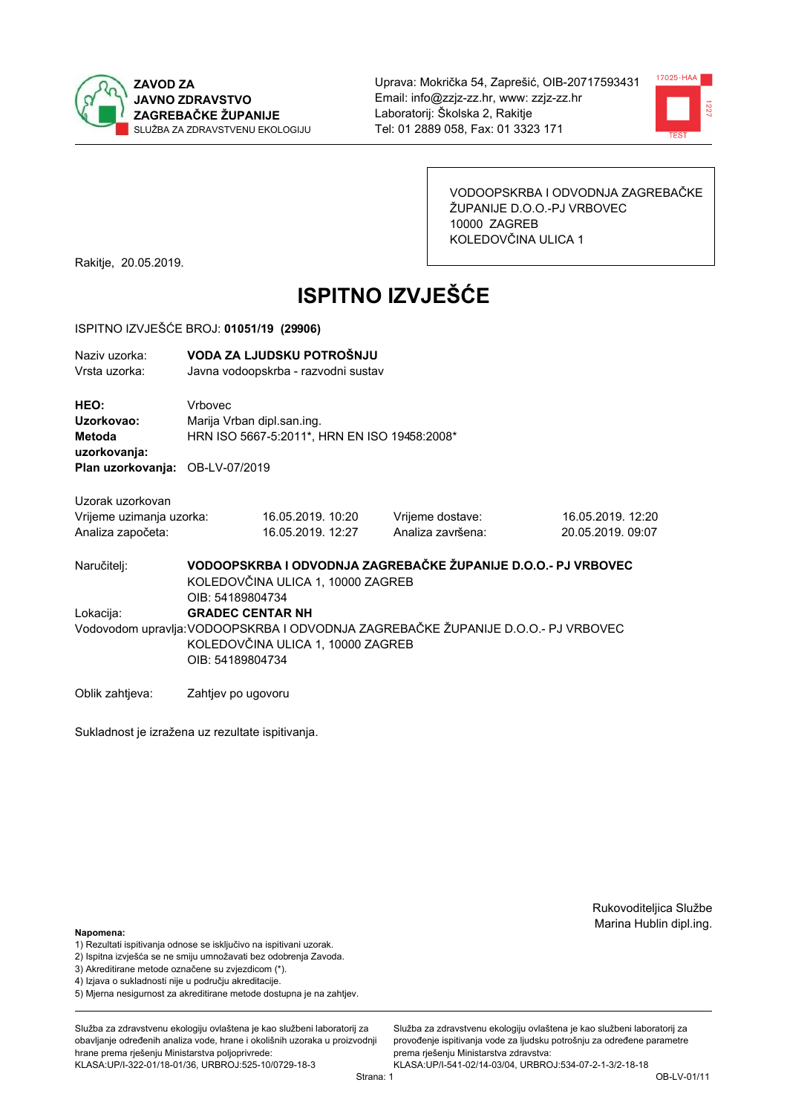



VODOOPSKRBA I ODVODNJA ZAGREBAČKE ŽUPANIJE D.O.O.-PJ VRBOVEC 10000 ZAGREB KOLEDOVČINA ULICA 1

Rakitje, 20.05.2019.

# **ISPITNO IZVJEŠĆE**

#### ISPITNO IZVJEŠĆE BROJ: 01051/19 (29906)

| Naziv uzorka:<br>Vrsta uzorka:                                                  |                                                                                                                                                                       | VODA ZA LJUDSKU POTROŠNJU<br>Javna vodoopskrba - razvodni sustav |                                                               |                                        |  |
|---------------------------------------------------------------------------------|-----------------------------------------------------------------------------------------------------------------------------------------------------------------------|------------------------------------------------------------------|---------------------------------------------------------------|----------------------------------------|--|
| HEO:<br>Uzorkovao:<br>Metoda<br>uzorkovanja:<br>Plan uzorkovanja: OB-LV-07/2019 | Vrbovec<br>Marija Vrban dipl.san.ing.                                                                                                                                 | HRN ISO 5667-5:2011*, HRN EN ISO 19458:2008*                     |                                                               |                                        |  |
| Uzorak uzorkovan<br>Vrijeme uzimanja uzorka:<br>Analiza započeta:               |                                                                                                                                                                       | 16.05.2019. 10:20<br>16.05.2019. 12:27                           | Vrijeme dostave:<br>Analiza završena:                         | 16.05.2019. 12:20<br>20.05.2019, 09:07 |  |
| Naručitelj:                                                                     | OIB: 54189804734                                                                                                                                                      | KOLEDOVČINA ULICA 1, 10000 ZAGREB                                | VODOOPSKRBA I ODVODNJA ZAGREBAČKE ŽUPANIJE D.O.O.- PJ VRBOVEC |                                        |  |
| Lokacija:                                                                       | <b>GRADEC CENTAR NH</b><br>Vodovodom upravlja: VODOOPSKRBA I ODVODNJA ZAGREBAČKE ŽUPANIJE D.O.O.- PJ VRBOVEC<br>KOLEDOVČINA ULICA 1, 10000 ZAGREB<br>OIB: 54189804734 |                                                                  |                                                               |                                        |  |
| Oblik zahtjeva:                                                                 | Zahtjev po ugovoru                                                                                                                                                    |                                                                  |                                                               |                                        |  |

Sukladnost je izražena uz rezultate ispitivanja.

Rukovoditeljica Službe Marina Hublin dipl.ing.

#### Napomena:

- 1) Rezultati ispitivanja odnose se isključivo na ispitivani uzorak.
- 2) Ispitna izvješća se ne smiju umnožavati bez odobrenja Zavoda.
- 3) Akreditirane metode označene su zvjezdicom (\*).
- 4) Iziava o sukladnosti nije u području akreditacije.
- 5) Mjerna nesigurnost za akreditirane metode dostupna je na zahtjev.

Služba za zdravstvenu ekologiju ovlaštena je kao službeni laboratorij za obavlianie određenih analiza vode, hrane i okolišnih uzoraka u proizvodniji hrane prema rješenju Ministarstva poljoprivrede: KLASA:UP/I-322-01/18-01/36, URBROJ:525-10/0729-18-3

Služba za zdravstvenu ekologiju ovlaštena je kao službeni laboratorij za provođenie ispitivania vode za liudsku potrošniu za određene parametre prema rješenju Ministarstva zdravstva: KLASA:UP/I-541-02/14-03/04, URBROJ:534-07-2-1-3/2-18-18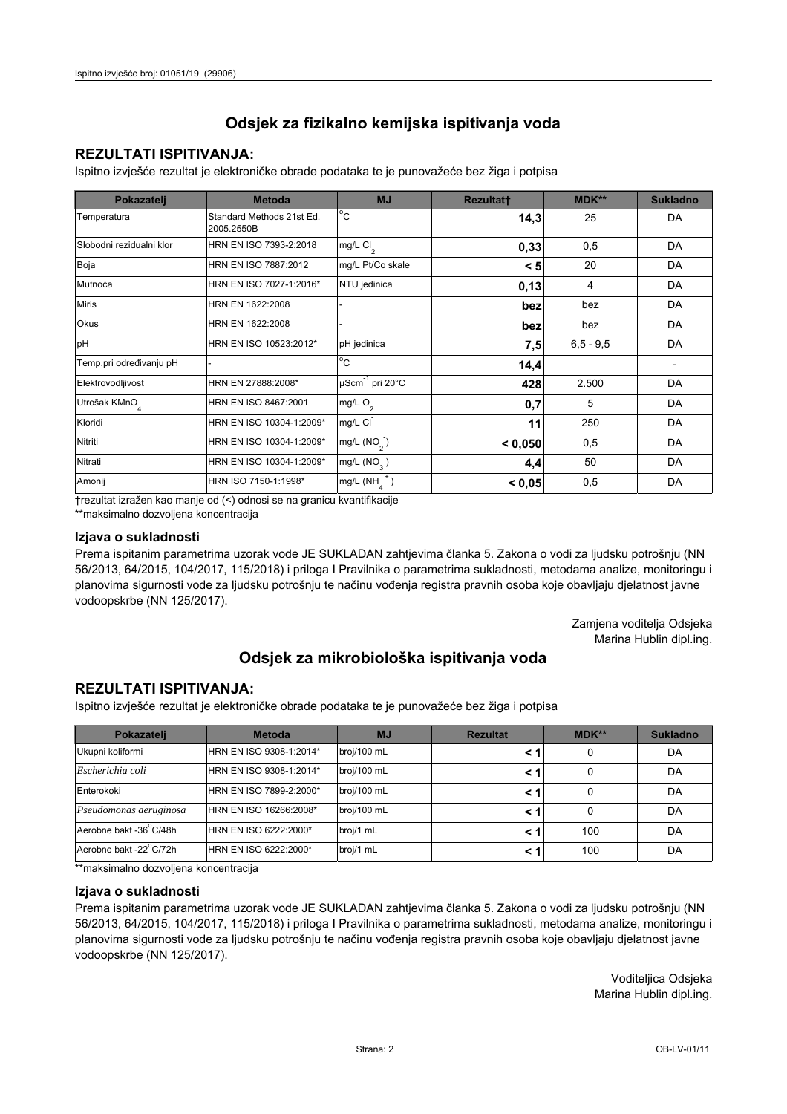## **REZULTATI ISPITIVANJA:**

Ispitno izviešće rezultat je elektroničke obrade podataka te je punovažeće bez žiga i potpisa

| Pokazatelj                | <b>Metoda</b>                           | <b>MJ</b>               | <b>Rezultatt</b> | <b>MDK**</b>  | <b>Sukladno</b> |
|---------------------------|-----------------------------------------|-------------------------|------------------|---------------|-----------------|
| Temperatura               | Standard Methods 21st Ed.<br>2005.2550B | $^{\circ}$ C            | 14,3             | 25            | DA              |
| Slobodni rezidualni klor  | HRN EN ISO 7393-2:2018                  | $mg/L$ Cl <sub>2</sub>  | 0,33             | 0,5           | DA              |
| Boja                      | HRN EN ISO 7887:2012                    | mg/L Pt/Co skale        | < 5              | 20            | DA              |
| Mutnoća                   | HRN EN ISO 7027-1:2016*                 | NTU jedinica            | 0,13             | 4             | DA              |
| <b>Miris</b>              | HRN EN 1622:2008                        |                         | bez              | bez           | DA              |
| Okus                      | HRN EN 1622:2008                        |                         | bez              | bez           | DA              |
| pH                        | HRN EN ISO 10523:2012*                  | pH jedinica             | 7,5              | $6, 5 - 9, 5$ | DA              |
| Temp.pri određivanju pH   |                                         | $^{\circ}$ C            | 14,4             |               |                 |
| Elektrovodljivost         | HRN EN 27888:2008*                      | µScm-1 pri 20°C         | 428              | 2.500         | DA              |
| Utrošak KMnO <sub>4</sub> | HRN EN ISO 8467:2001                    | mg/L $O2$               | 0,7              | 5             | DA              |
| Kloridi                   | HRN EN ISO 10304-1:2009*                | mg/L CI                 | 11               | 250           | DA              |
| Nitriti                   | HRN EN ISO 10304-1:2009*                | mg/L (NO <sub>2</sub> ) | < 0.050          | 0,5           | DA              |
| Nitrati                   | HRN EN ISO 10304-1:2009*                | mg/L (NO <sub>3</sub> ) | 4,4              | 50            | DA              |
| Amonij                    | HRN ISO 7150-1:1998*                    | mg/L (NH                | < 0,05           | 0,5           | DA              |

trezultat izražen kao manje od (<) odnosi se na granicu kvantifikacije

\*\*maksimalno dozvoljena koncentracija

#### Izjava o sukladnosti

Prema ispitanim parametrima uzorak vode JE SUKLADAN zahtievima članka 5. Zakona o vodi za ljudsku potrošnju (NN 56/2013, 64/2015, 104/2017, 115/2018) i priloga I Pravilnika o parametrima sukladnosti, metodama analize, monitoringu i planovima sigurnosti vode za ljudsku potrošnju te načinu vođenja registra pravnih osoba koje obavljaju djelatnost javne vodoopskrbe (NN 125/2017).

> Zamjena voditelja Odsjeka Marina Hublin dipl.ing.

## Odsjek za mikrobiološka ispitivanja voda

## **REZULTATI ISPITIVANJA:**

Ispitno izvješće rezultat je elektroničke obrade podataka te je punovažeće bez žiga i potpisa

| Pokazatelj             | <b>Metoda</b>           | <b>MJ</b>   | <b>Rezultat</b> | $MDK**$ | <b>Sukladno</b> |
|------------------------|-------------------------|-------------|-----------------|---------|-----------------|
| Ukupni koliformi       | HRN EN ISO 9308-1:2014* | broj/100 mL |                 | 0       | DA              |
| Escherichia coli       | HRN EN ISO 9308-1:2014* | broj/100 mL |                 | 0       | DA              |
| Enterokoki             | HRN EN ISO 7899-2:2000* | broj/100 mL |                 | 0       | DA              |
| Pseudomonas aeruginosa | HRN EN ISO 16266:2008*  | broj/100 mL | < 1             | 0       | DA              |
| Aerobne bakt -36 C/48h | HRN EN ISO 6222:2000*   | broj/1 mL   |                 | 100     | DA              |
| Aerobne bakt -22°C/72h | HRN EN ISO 6222:2000*   | broj/1 mL   |                 | 100     | DA              |

\*\*maksimalno dozvoljena koncentracija

#### Izjava o sukladnosti

Prema ispitanim parametrima uzorak vode JE SUKLADAN zahtjevima članka 5. Zakona o vodi za ljudsku potrošnju (NN 56/2013, 64/2015, 104/2017, 115/2018) i priloga I Pravilnika o parametrima sukladnosti, metodama analize, monitoringu i planovima sigurnosti vode za ljudsku potrošnju te načinu vođenja registra pravnih osoba koje obavljaju djelatnost javne vodoopskrbe (NN 125/2017).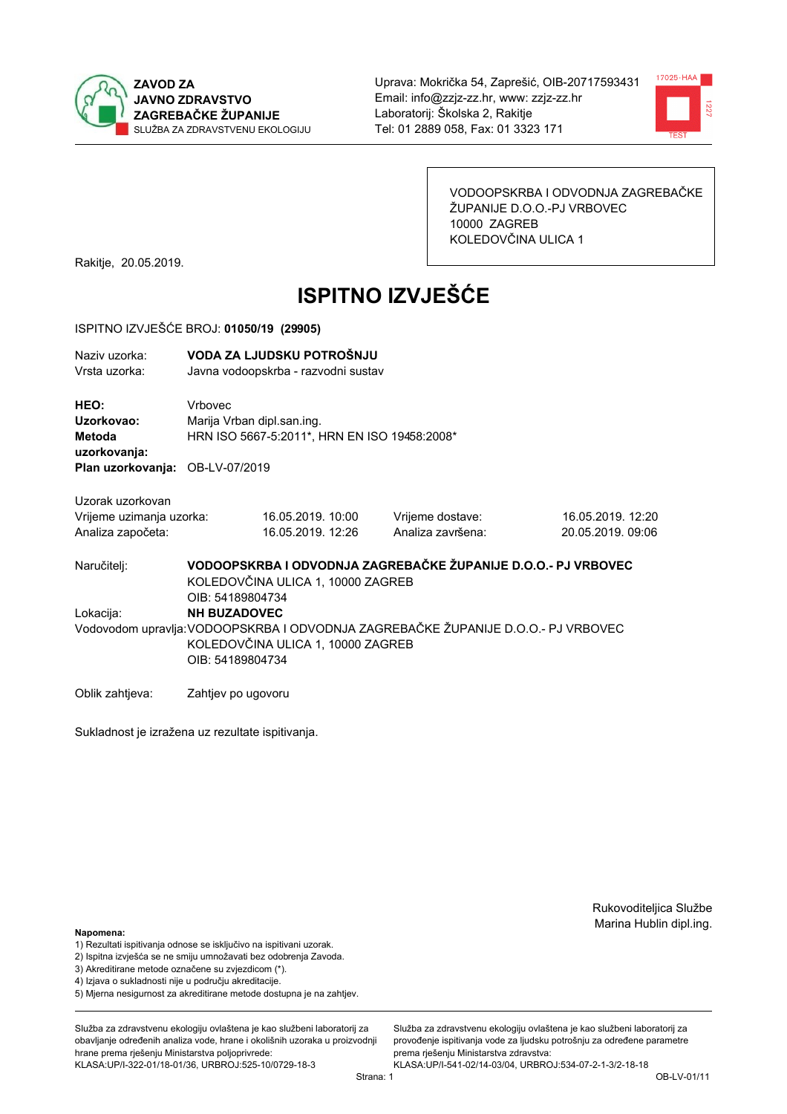



VODOOPSKRBA I ODVODNJA ZAGREBAČKE ŽUPANIJE D.O.O.-PJ VRBOVEC 10000 ZAGREB KOLEDOVČINA ULICA 1

Rakitje, 20.05.2019.

# **ISPITNO IZVJEŠĆE**

#### ISPITNO IZVJEŠĆE BROJ: 01050/19 (29905)

| Naziv uzorka:<br>Vrsta uzorka:                                    |                                              | VODA ZA LJUDSKU POTROŠNJU<br>Javna vodoopskrba - razvodni sustav |                                                                                   |                                        |
|-------------------------------------------------------------------|----------------------------------------------|------------------------------------------------------------------|-----------------------------------------------------------------------------------|----------------------------------------|
| HEO:<br>Uzorkovao:<br>Metoda<br>uzorkovanja:                      | <b>Vrhovec</b><br>Marija Vrban dipl.san.ing. | HRN ISO 5667-5:2011*, HRN EN ISO 19458:2008*                     |                                                                                   |                                        |
| Plan uzorkovanja: OB-LV-07/2019                                   |                                              |                                                                  |                                                                                   |                                        |
| Uzorak uzorkovan<br>Vrijeme uzimanja uzorka:<br>Analiza započeta: |                                              | 16.05.2019. 10:00<br>16.05.2019. 12:26                           | Vrijeme dostave:<br>Analiza završena:                                             | 16.05.2019. 12:20<br>20.05.2019. 09:06 |
| Naručitelj:                                                       | OIB: 54189804734                             | KOLEDOVČINA ULICA 1, 10000 ZAGREB                                | VODOOPSKRBA I ODVODNJA ZAGREBAČKE ŽUPANIJE D.O.O.- PJ VRBOVEC                     |                                        |
| Lokacija:                                                         | <b>NH BUZADOVEC</b>                          |                                                                  |                                                                                   |                                        |
|                                                                   | OIB: 54189804734                             | KOLEDOVČINA ULICA 1, 10000 ZAGREB                                | Vodovodom upravlja: VODOOPSKRBA I ODVODNJA ZAGREBAČKE ŽUPANIJE D.O.O.- PJ VRBOVEC |                                        |
| Oblik zahtjeva:                                                   | Zahtjev po ugovoru                           |                                                                  |                                                                                   |                                        |

Sukladnost je izražena uz rezultate ispitivanja.

Rukovoditeljica Službe Marina Hublin dipl.ing.

#### Napomena:

- 1) Rezultati ispitivanja odnose se isključivo na ispitivani uzorak.
- 2) Ispitna izvješća se ne smiju umnožavati bez odobrenja Zavoda.
- 3) Akreditirane metode označene su zvjezdicom (\*).
- 4) Iziava o sukladnosti nije u području akreditacije.
- 5) Mjerna nesigurnost za akreditirane metode dostupna je na zahtjev.

Služba za zdravstvenu ekologiju ovlaštena je kao službeni laboratorij za obavlianie određenih analiza vode, hrane i okolišnih uzoraka u proizvodniji hrane prema rješenju Ministarstva poljoprivrede: KLASA:UP/I-322-01/18-01/36, URBROJ:525-10/0729-18-3

Služba za zdravstvenu ekologiju ovlaštena je kao službeni laboratorij za provođenie ispitivania vode za liudsku potrošniu za određene parametre prema rješenju Ministarstva zdravstva: KLASA:UP/I-541-02/14-03/04, URBROJ:534-07-2-1-3/2-18-18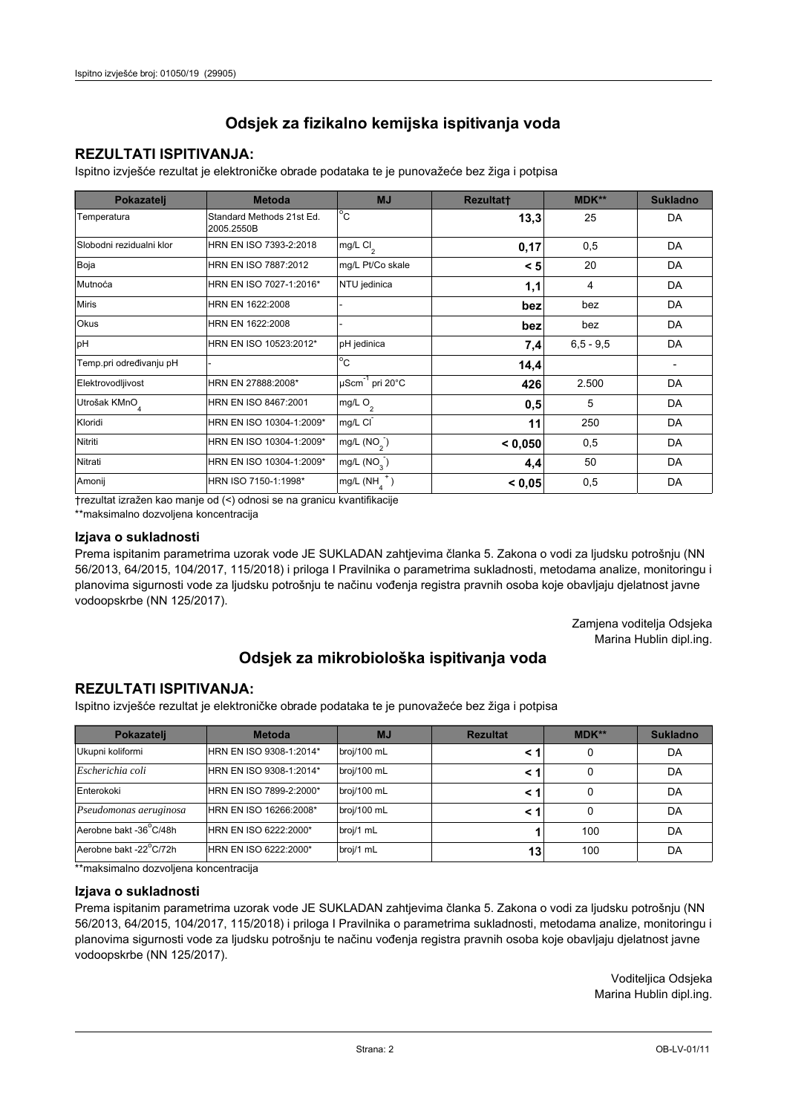## **REZULTATI ISPITIVANJA:**

Ispitno izviešće rezultat je elektroničke obrade podataka te je punovažeće bez žiga i potpisa

| Pokazatelj                | <b>Metoda</b>                           | <b>MJ</b>                   | <b>Rezultatt</b> | <b>MDK**</b>  | <b>Sukladno</b> |
|---------------------------|-----------------------------------------|-----------------------------|------------------|---------------|-----------------|
| Temperatura               | Standard Methods 21st Ed.<br>2005.2550B | $^{\circ}$ C                | 13,3             | 25            | DA              |
| Slobodni rezidualni klor  | HRN EN ISO 7393-2:2018                  | mg/L Cl <sub>2</sub>        | 0,17             | 0,5           | DA              |
| Boja                      | HRN EN ISO 7887:2012                    | mg/L Pt/Co skale            | < 5              | 20            | DA              |
| Mutnoća                   | HRN EN ISO 7027-1:2016*                 | NTU jedinica                | 1,1              | 4             | DA              |
| <b>Miris</b>              | HRN EN 1622:2008                        |                             | bez              | bez           | DA              |
| <b>Okus</b>               | HRN EN 1622:2008                        |                             | bez              | bez           | DA              |
| pH                        | HRN EN ISO 10523:2012*                  | pH jedinica                 | 7,4              | $6, 5 - 9, 5$ | DA              |
| Temp.pri određivanju pH   |                                         | $\overline{C}$              | 14,4             |               |                 |
| Elektrovodljivost         | HRN EN 27888:2008*                      | µScm <sup>-1</sup> pri 20°C | 426              | 2.500         | DA              |
| Utrošak KMnO <sub>4</sub> | HRN EN ISO 8467:2001                    | mg/L O <sub>2</sub>         | 0,5              | 5             | DA              |
| Kloridi                   | HRN EN ISO 10304-1:2009*                | mg/L CI                     | 11               | 250           | DA              |
| Nitriti                   | HRN EN ISO 10304-1:2009*                | mg/L $(NO2)$                | < 0,050          | 0,5           | DA              |
| Nitrati                   | HRN EN ISO 10304-1:2009*                | mg/L (NO <sub>3</sub> )     | 4,4              | 50            | DA              |
| Amonij                    | HRN ISO 7150-1:1998*                    | mg/L (NH                    | < 0,05           | 0,5           | DA              |

trezultat izražen kao manje od (<) odnosi se na granicu kvantifikacije

\*\*maksimalno dozvoljena koncentracija

#### Izjava o sukladnosti

Prema ispitanim parametrima uzorak vode JE SUKLADAN zahtievima članka 5. Zakona o vodi za ljudsku potrošnju (NN 56/2013, 64/2015, 104/2017, 115/2018) i priloga I Pravilnika o parametrima sukladnosti, metodama analize, monitoringu i planovima sigurnosti vode za ljudsku potrošnju te načinu vođenja registra pravnih osoba koje obavljaju djelatnost javne vodoopskrbe (NN 125/2017).

> Zamjena voditelja Odsjeka Marina Hublin dipl.ing.

## Odsjek za mikrobiološka ispitivanja voda

## **REZULTATI ISPITIVANJA:**

Ispitno izvješće rezultat je elektroničke obrade podataka te je punovažeće bez žiga i potpisa

| Pokazatelj             | <b>Metoda</b>           | <b>MJ</b>   | <b>Rezultat</b> | $MDK**$ | <b>Sukladno</b> |
|------------------------|-------------------------|-------------|-----------------|---------|-----------------|
| Ukupni koliformi       | HRN EN ISO 9308-1:2014* | broj/100 mL |                 | 0       | DA              |
| Escherichia coli       | HRN EN ISO 9308-1:2014* | broj/100 mL |                 | 0       | DA              |
| Enterokoki             | HRN EN ISO 7899-2:2000* | broj/100 mL |                 | 0       | DA              |
| Pseudomonas aeruginosa | HRN EN ISO 16266:2008*  | broj/100 mL | < 1             | 0       | DA              |
| Aerobne bakt -36 C/48h | HRN EN ISO 6222:2000*   | broj/1 mL   |                 | 100     | DA              |
| Aerobne bakt -22°C/72h | HRN EN ISO 6222:2000*   | broj/1 mL   | 13              | 100     | DA              |

\*\*maksimalno dozvoljena koncentracija

#### Izjava o sukladnosti

Prema ispitanim parametrima uzorak vode JE SUKLADAN zahtjevima članka 5. Zakona o vodi za ljudsku potrošnju (NN 56/2013, 64/2015, 104/2017, 115/2018) i priloga I Pravilnika o parametrima sukladnosti, metodama analize, monitoringu i planovima sigurnosti vode za ljudsku potrošnju te načinu vođenja registra pravnih osoba koje obavljaju djelatnost javne vodoopskrbe (NN 125/2017).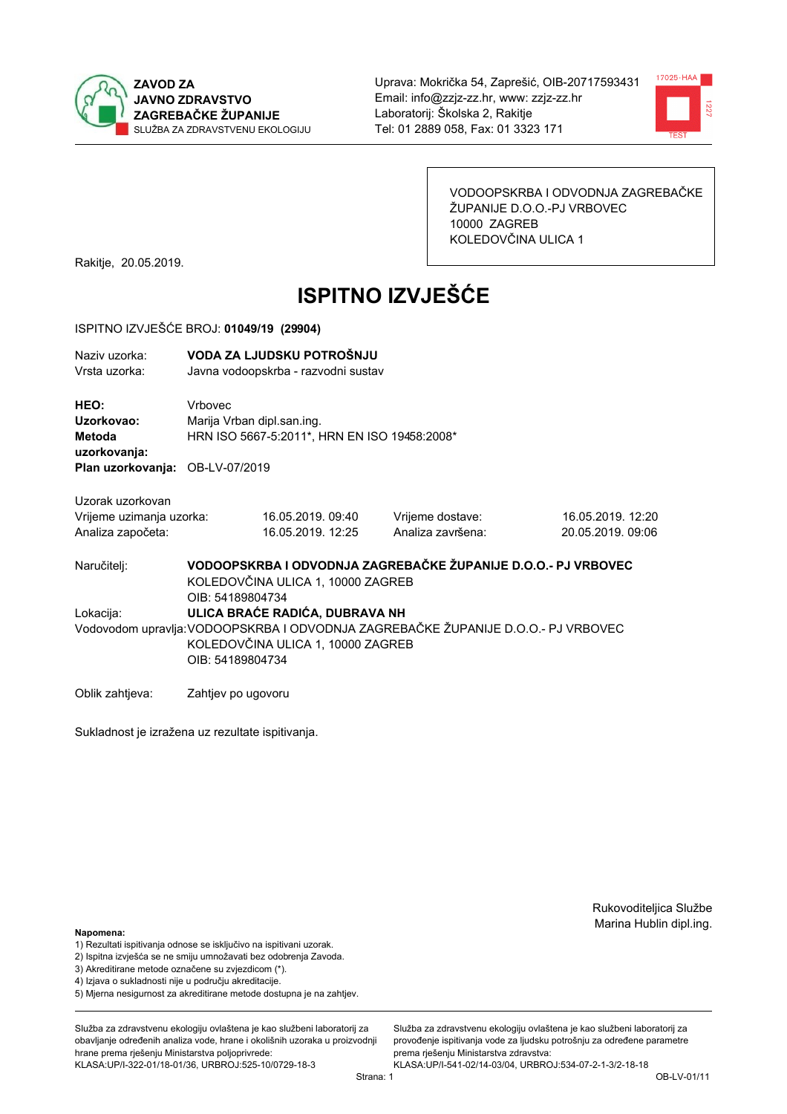



VODOOPSKRBA I ODVODNJA ZAGREBAČKE ŽUPANIJE D.O.O.-PJ VRBOVEC 10000 ZAGREB KOLEDOVČINA ULICA 1

Rakitje, 20.05.2019.

# **ISPITNO IZVJEŠĆE**

#### ISPITNO IZVJEŠĆE BROJ: 01049/19 (29904)

| Naziv uzorka:<br>Vrsta uzorka:               |                    | VODA ZA LJUDSKU POTROŠNJU<br>Javna vodoopskrba - razvodni sustav                                                                           |                   |                                                               |  |  |
|----------------------------------------------|--------------------|--------------------------------------------------------------------------------------------------------------------------------------------|-------------------|---------------------------------------------------------------|--|--|
| HEO:<br>Uzorkovao:<br>Metoda<br>uzorkovanja: | Vrbovec            | Marija Vrban dipl.san.ing.<br>HRN ISO 5667-5:2011*, HRN EN ISO 19458:2008*                                                                 |                   |                                                               |  |  |
| Plan uzorkovanja: OB-LV-07/2019              |                    |                                                                                                                                            |                   |                                                               |  |  |
| Uzorak uzorkovan                             |                    |                                                                                                                                            |                   |                                                               |  |  |
| Vrijeme uzimanja uzorka:                     |                    | 16.05.2019.09:40                                                                                                                           | Vrijeme dostave:  | 16.05.2019. 12:20                                             |  |  |
| Analiza započeta:                            |                    | 16.05.2019. 12:25                                                                                                                          | Analiza završena: | 20.05.2019, 09:06                                             |  |  |
| Naručitelj:                                  | OIB: 54189804734   | KOLEDOVČINA ULICA 1, 10000 ZAGREB                                                                                                          |                   | VODOOPSKRBA I ODVODNJA ZAGREBAČKE ŽUPANIJE D.O.O.- PJ VRBOVEC |  |  |
| Lokacija:                                    |                    | ULICA BRAĆE RADIĆA, DUBRAVA NH                                                                                                             |                   |                                                               |  |  |
|                                              |                    | Vodovodom upravlja: VODOOPSKRBA I ODVODNJA ZAGREBAČKE ŽUPANIJE D.O.O.- PJ VRBOVEC<br>KOLEDOVČINA ULICA 1, 10000 ZAGREB<br>OIB: 54189804734 |                   |                                                               |  |  |
| Oblik zahtjeva:                              | Zahtjev po ugovoru |                                                                                                                                            |                   |                                                               |  |  |

Sukladnost je izražena uz rezultate ispitivanja.

Rukovoditeljica Službe Marina Hublin dipl.ing.

#### Napomena:

- 1) Rezultati ispitivanja odnose se isključivo na ispitivani uzorak.
- 2) Ispitna izvješća se ne smiju umnožavati bez odobrenja Zavoda.
- 3) Akreditirane metode označene su zvjezdicom (\*).
- 4) Iziava o sukladnosti nije u području akreditacije.
- 5) Mjerna nesigurnost za akreditirane metode dostupna je na zahtjev.

Služba za zdravstvenu ekologiju ovlaštena je kao službeni laboratorij za obavlianie određenih analiza vode, hrane i okolišnih uzoraka u proizvodniji hrane prema rješenju Ministarstva poljoprivrede: KLASA:UP/I-322-01/18-01/36, URBROJ:525-10/0729-18-3

Služba za zdravstvenu ekologiju ovlaštena je kao službeni laboratorij za provođenie ispitivania vode za liudsku potrošniu za određene parametre prema rješenju Ministarstva zdravstva: KLASA:UP/I-541-02/14-03/04, URBROJ:534-07-2-1-3/2-18-18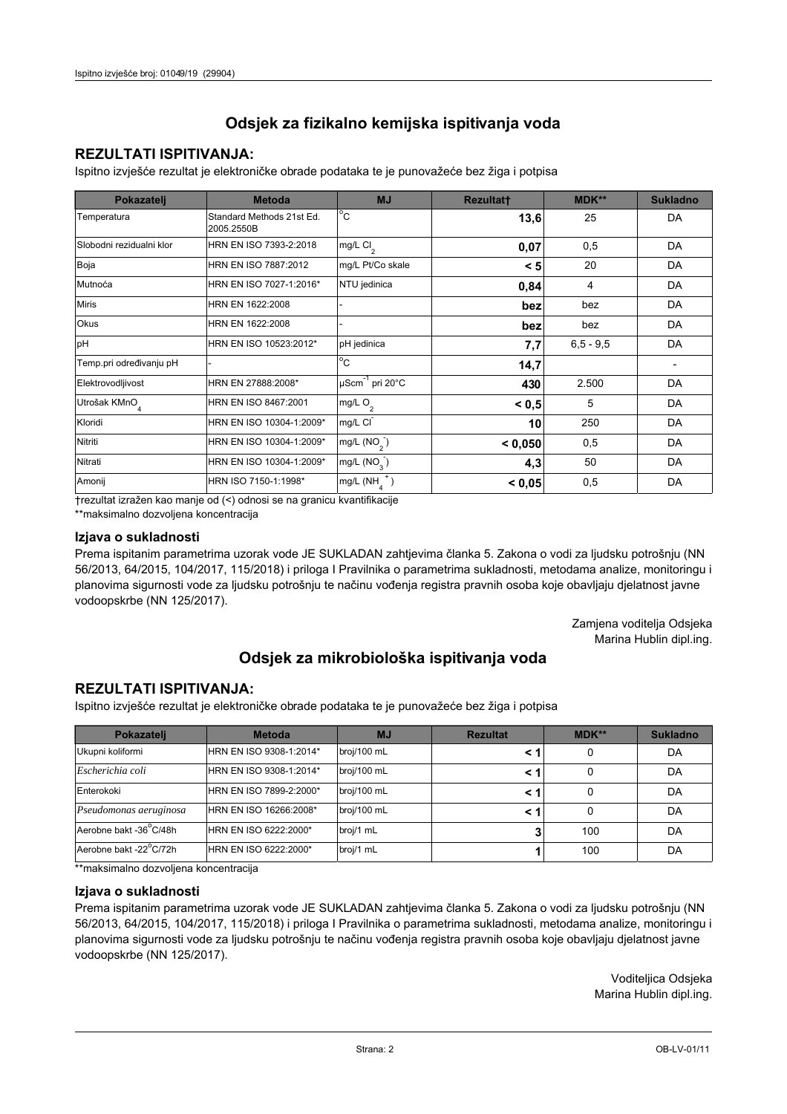### **REZULTATI ISPITIVANJA:**

Ispitno izviešće rezultat je elektroničke obrade podataka te je punovažeće bez žiga i potpisa

| Pokazatelj                | <b>Metoda</b>                           | <b>MJ</b>                   | <b>Rezultatt</b> | <b>MDK**</b>  | <b>Sukladno</b> |
|---------------------------|-----------------------------------------|-----------------------------|------------------|---------------|-----------------|
| Temperatura               | Standard Methods 21st Ed.<br>2005.2550B | $^{\circ}$ C                | 13,6             | 25            | DA              |
| Slobodni rezidualni klor  | HRN EN ISO 7393-2:2018                  | mg/L Cl <sub>2</sub>        | 0,07             | 0,5           | DA              |
| Boja                      | HRN EN ISO 7887:2012                    | mg/L Pt/Co skale            | < 5              | 20            | DA              |
| Mutnoća                   | HRN EN ISO 7027-1:2016*                 | NTU jedinica                | 0,84             | 4             | DA              |
| <b>Miris</b>              | HRN EN 1622:2008                        |                             | bez              | bez           | DA              |
| <b>Okus</b>               | HRN EN 1622:2008                        |                             | bez              | bez           | DA              |
| pH                        | HRN EN ISO 10523:2012*                  | pH jedinica                 | 7,7              | $6, 5 - 9, 5$ | DA              |
| Temp.pri određivanju pH   |                                         | $\overline{C}$              | 14,7             |               |                 |
| Elektrovodljivost         | HRN EN 27888:2008*                      | µScm <sup>-1</sup> pri 20°C | 430              | 2.500         | DA              |
| Utrošak KMnO <sub>4</sub> | HRN EN ISO 8467:2001                    | mg/L O <sub>2</sub>         | < 0, 5           | 5             | DA              |
| Kloridi                   | HRN EN ISO 10304-1:2009*                | mg/L CI                     | 10               | 250           | DA              |
| Nitriti                   | HRN EN ISO 10304-1:2009*                | mg/L $(NO2)$                | < 0,050          | 0,5           | DA              |
| Nitrati                   | HRN EN ISO 10304-1:2009*                | mg/L (NO <sub>3</sub> )     | 4,3              | 50            | DA              |
| Amonij                    | HRN ISO 7150-1:1998*                    | mg/L (NH                    | < 0,05           | 0,5           | DA              |

trezultat izražen kao manje od (<) odnosi se na granicu kvantifikacije

\*\*maksimalno dozvoljena koncentracija

#### Izjava o sukladnosti

Prema ispitanim parametrima uzorak vode JE SUKLADAN zahtievima članka 5. Zakona o vodi za ljudsku potrošnju (NN 56/2013, 64/2015, 104/2017, 115/2018) i priloga I Pravilnika o parametrima sukladnosti, metodama analize, monitoringu i planovima sigurnosti vode za ljudsku potrošnju te načinu vođenja registra pravnih osoba koje obavljaju djelatnost javne vodoopskrbe (NN 125/2017).

> Zamjena voditelja Odsjeka Marina Hublin dipl.ing.

## Odsjek za mikrobiološka ispitivanja voda

### **REZULTATI ISPITIVANJA:**

Ispitno izvješće rezultat je elektroničke obrade podataka te je punovažeće bez žiga i potpisa

| Pokazatelj             | <b>Metoda</b>           | <b>MJ</b>   | <b>Rezultat</b> | $MDK**$ | <b>Sukladno</b> |
|------------------------|-------------------------|-------------|-----------------|---------|-----------------|
| Ukupni koliformi       | HRN EN ISO 9308-1:2014* | broj/100 mL |                 | 0       | DA              |
| Escherichia coli       | HRN EN ISO 9308-1:2014* | broj/100 mL |                 | 0       | DA              |
| Enterokoki             | HRN EN ISO 7899-2:2000* | broj/100 mL |                 | 0       | DA              |
| Pseudomonas aeruginosa | HRN EN ISO 16266:2008*  | broj/100 mL | < 1             | 0       | DA              |
| Aerobne bakt -36 C/48h | HRN EN ISO 6222:2000*   | broj/1 mL   |                 | 100     | DA              |
| Aerobne bakt -22°C/72h | HRN EN ISO 6222:2000*   | broj/1 mL   |                 | 100     | DA              |

\*\*maksimalno dozvoljena koncentracija

#### Izjava o sukladnosti

Prema ispitanim parametrima uzorak vode JE SUKLADAN zahtjevima članka 5. Zakona o vodi za ljudsku potrošnju (NN 56/2013, 64/2015, 104/2017, 115/2018) i priloga I Pravilnika o parametrima sukladnosti, metodama analize, monitoringu i planovima sigurnosti vode za ljudsku potrošnju te načinu vođenja registra pravnih osoba koje obavljaju djelatnost javne vodoopskrbe (NN 125/2017).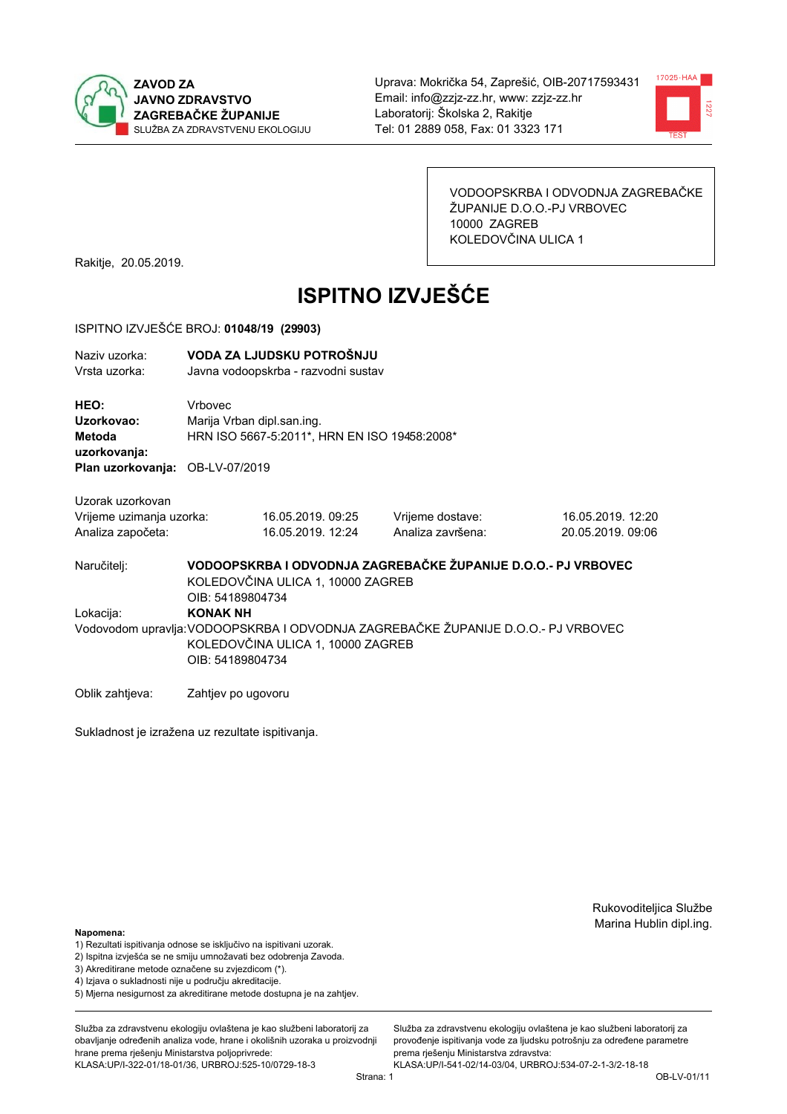



VODOOPSKRBA I ODVODNJA ZAGREBAČKE ŽUPANIJE D.O.O.-PJ VRBOVEC 10000 ZAGREB KOLEDOVČINA ULICA 1

Rakitje, 20.05.2019.

# **ISPITNO IZVJEŠĆE**

#### ISPITNO IZVJEŠĆE BROJ: 01048/19 (29903)

| Naziv uzorka:<br>Vrsta uzorka:                                                                                                                                             |                                              | VODA ZA LJUDSKU POTROŠNJU<br>Javna vodoopskrba - razvodni sustav |                                                               |                                        |  |
|----------------------------------------------------------------------------------------------------------------------------------------------------------------------------|----------------------------------------------|------------------------------------------------------------------|---------------------------------------------------------------|----------------------------------------|--|
| HEO:<br>Uzorkovao:<br>Metoda<br>uzorkovanja:<br>Plan uzorkovanja: OB-LV-07/2019                                                                                            | <b>Vrhovec</b><br>Marija Vrban dipl.san.ing. | HRN ISO 5667-5:2011*, HRN EN ISO 19458:2008*                     |                                                               |                                        |  |
| Uzorak uzorkovan<br>Vrijeme uzimanja uzorka:<br>Analiza započeta:                                                                                                          |                                              | 16.05.2019.09:25<br>16.05.2019. 12:24                            | Vrijeme dostave:<br>Analiza završena:                         | 16.05.2019. 12:20<br>20.05.2019, 09:06 |  |
| Naručitelj:                                                                                                                                                                | OIB: 54189804734                             | KOLEDOVČINA ULICA 1, 10000 ZAGREB                                | VODOOPSKRBA I ODVODNJA ZAGREBAČKE ŽUPANIJE D.O.O.- PJ VRBOVEC |                                        |  |
| Lokacija:<br><b>KONAK NH</b><br>Vodovodom upravlja: VODOOPSKRBA I ODVODNJA ZAGREBAČKE ŽUPANIJE D.O.O.- PJ VRBOVEC<br>KOLEDOVČINA ULICA 1, 10000 ZAGREB<br>OIB: 54189804734 |                                              |                                                                  |                                                               |                                        |  |
| Oblik zahtjeva:                                                                                                                                                            | Zahtjev po ugovoru                           |                                                                  |                                                               |                                        |  |

Sukladnost je izražena uz rezultate ispitivanja.

Rukovoditeljica Službe Marina Hublin dipl.ing.

#### Napomena:

- 1) Rezultati ispitivanja odnose se isključivo na ispitivani uzorak.
- 2) Ispitna izvješća se ne smiju umnožavati bez odobrenja Zavoda.
- 3) Akreditirane metode označene su zvjezdicom (\*).
- 4) Iziava o sukladnosti nije u području akreditacije.
- 5) Mjerna nesigurnost za akreditirane metode dostupna je na zahtjev.

Služba za zdravstvenu ekologiju ovlaštena je kao službeni laboratorij za obavlianie određenih analiza vode, hrane i okolišnih uzoraka u proizvodniji hrane prema rješenju Ministarstva poljoprivrede: KLASA:UP/I-322-01/18-01/36, URBROJ:525-10/0729-18-3

Služba za zdravstvenu ekologiju ovlaštena je kao službeni laboratorij za provođenie ispitivania vode za liudsku potrošniu za određene parametre prema rješenju Ministarstva zdravstva: KLASA:UP/I-541-02/14-03/04, URBROJ:534-07-2-1-3/2-18-18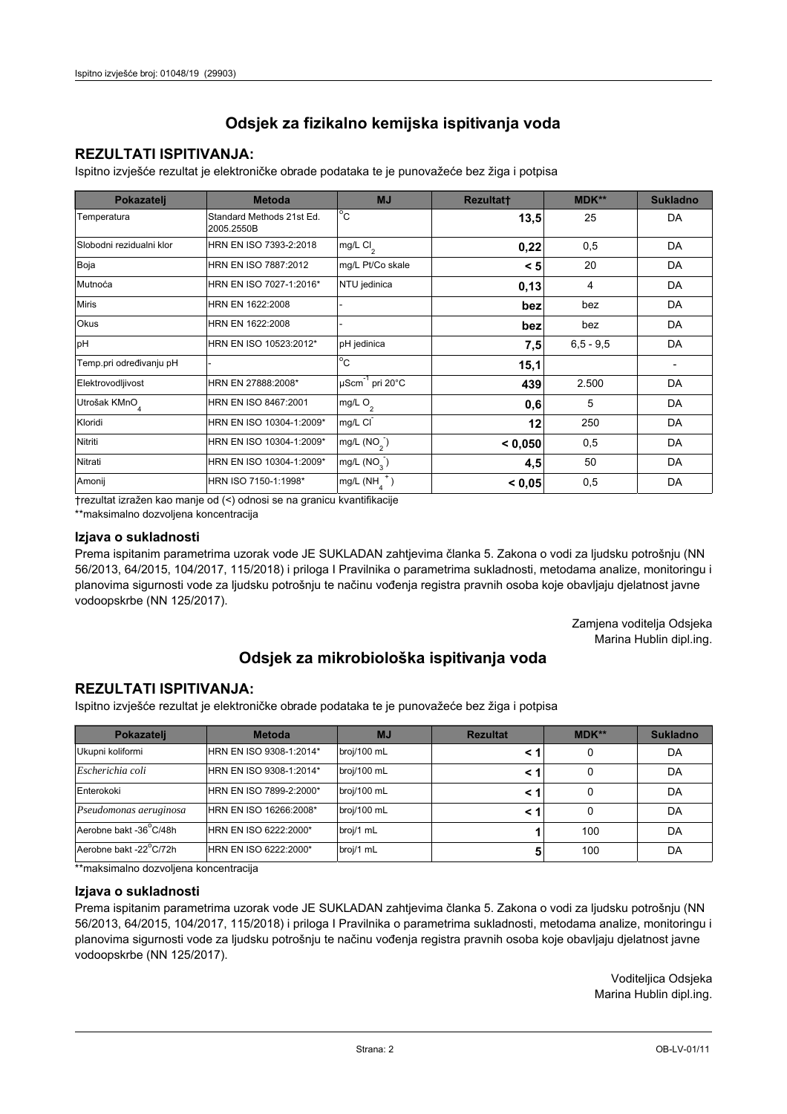## **REZULTATI ISPITIVANJA:**

Ispitno izviešće rezultat je elektroničke obrade podataka te je punovažeće bez žiga i potpisa

| Pokazatelj                | <b>Metoda</b>                           | <b>MJ</b>               | <b>Rezultatt</b> | <b>MDK**</b>  | <b>Sukladno</b> |
|---------------------------|-----------------------------------------|-------------------------|------------------|---------------|-----------------|
| Temperatura               | Standard Methods 21st Ed.<br>2005.2550B | $^{\circ}$ C            | 13,5             | 25            | DA              |
| Slobodni rezidualni klor  | HRN EN ISO 7393-2:2018                  | $mg/L$ Cl <sub>2</sub>  | 0,22             | 0,5           | DA              |
| Boja                      | HRN EN ISO 7887:2012                    | mg/L Pt/Co skale        | < 5              | 20            | DA              |
| Mutnoća                   | HRN EN ISO 7027-1:2016*                 | NTU jedinica            | 0,13             | 4             | DA              |
| <b>Miris</b>              | HRN EN 1622:2008                        |                         | bez              | bez           | DA              |
| Okus                      | HRN EN 1622:2008                        |                         | bez              | bez           | DA              |
| pH                        | HRN EN ISO 10523:2012*                  | pH jedinica             | 7,5              | $6, 5 - 9, 5$ | DA              |
| Temp.pri određivanju pH   |                                         | $^{\circ}$ C            | 15,1             |               |                 |
| Elektrovodljivost         | HRN EN 27888:2008*                      | µScm-1 pri 20°C         | 439              | 2.500         | DA              |
| Utrošak KMnO <sub>4</sub> | HRN EN ISO 8467:2001                    | mg/L O <sub>2</sub>     | 0,6              | 5             | DA              |
| Kloridi                   | HRN EN ISO 10304-1:2009*                | mg/L CI                 | 12               | 250           | DA              |
| Nitriti                   | HRN EN ISO 10304-1:2009*                | mg/L $(NO2)$            | < 0.050          | 0,5           | DA              |
| Nitrati                   | HRN EN ISO 10304-1:2009*                | mg/L (NO <sub>3</sub> ) | 4,5              | 50            | DA              |
| Amonij                    | HRN ISO 7150-1:1998*                    | mg/L (NH                | < 0,05           | 0,5           | DA              |

trezultat izražen kao manje od (<) odnosi se na granicu kvantifikacije

\*\*maksimalno dozvoljena koncentracija

#### Izjava o sukladnosti

Prema ispitanim parametrima uzorak vode JE SUKLADAN zahtievima članka 5. Zakona o vodi za ljudsku potrošnju (NN 56/2013, 64/2015, 104/2017, 115/2018) i priloga I Pravilnika o parametrima sukladnosti, metodama analize, monitoringu i planovima sigurnosti vode za ljudsku potrošnju te načinu vođenja registra pravnih osoba koje obavljaju djelatnost javne vodoopskrbe (NN 125/2017).

> Zamjena voditelja Odsjeka Marina Hublin dipl.ing.

## Odsjek za mikrobiološka ispitivanja voda

## **REZULTATI ISPITIVANJA:**

Ispitno izvješće rezultat je elektroničke obrade podataka te je punovažeće bez žiga i potpisa

| Pokazatelj             | <b>Metoda</b>           | <b>MJ</b>   | <b>Rezultat</b> | $MDK**$ | <b>Sukladno</b> |
|------------------------|-------------------------|-------------|-----------------|---------|-----------------|
| Ukupni koliformi       | HRN EN ISO 9308-1:2014* | broj/100 mL |                 | 0       | DA              |
| Escherichia coli       | HRN EN ISO 9308-1:2014* | broj/100 mL |                 | 0       | DA              |
| Enterokoki             | HRN EN ISO 7899-2:2000* | broj/100 mL |                 | 0       | DA              |
| Pseudomonas aeruginosa | HRN EN ISO 16266:2008*  | broj/100 mL | < 1             | 0       | DA              |
| Aerobne bakt -36 C/48h | HRN EN ISO 6222:2000*   | broj/1 mL   |                 | 100     | DA              |
| Aerobne bakt -22°C/72h | HRN EN ISO 6222:2000*   | broj/1 mL   |                 | 100     | DA              |

\*\*maksimalno dozvoljena koncentracija

#### Izjava o sukladnosti

Prema ispitanim parametrima uzorak vode JE SUKLADAN zahtjevima članka 5. Zakona o vodi za ljudsku potrošnju (NN 56/2013, 64/2015, 104/2017, 115/2018) i priloga I Pravilnika o parametrima sukladnosti, metodama analize, monitoringu i planovima sigurnosti vode za ljudsku potrošnju te načinu vođenja registra pravnih osoba koje obavljaju djelatnost javne vodoopskrbe (NN 125/2017).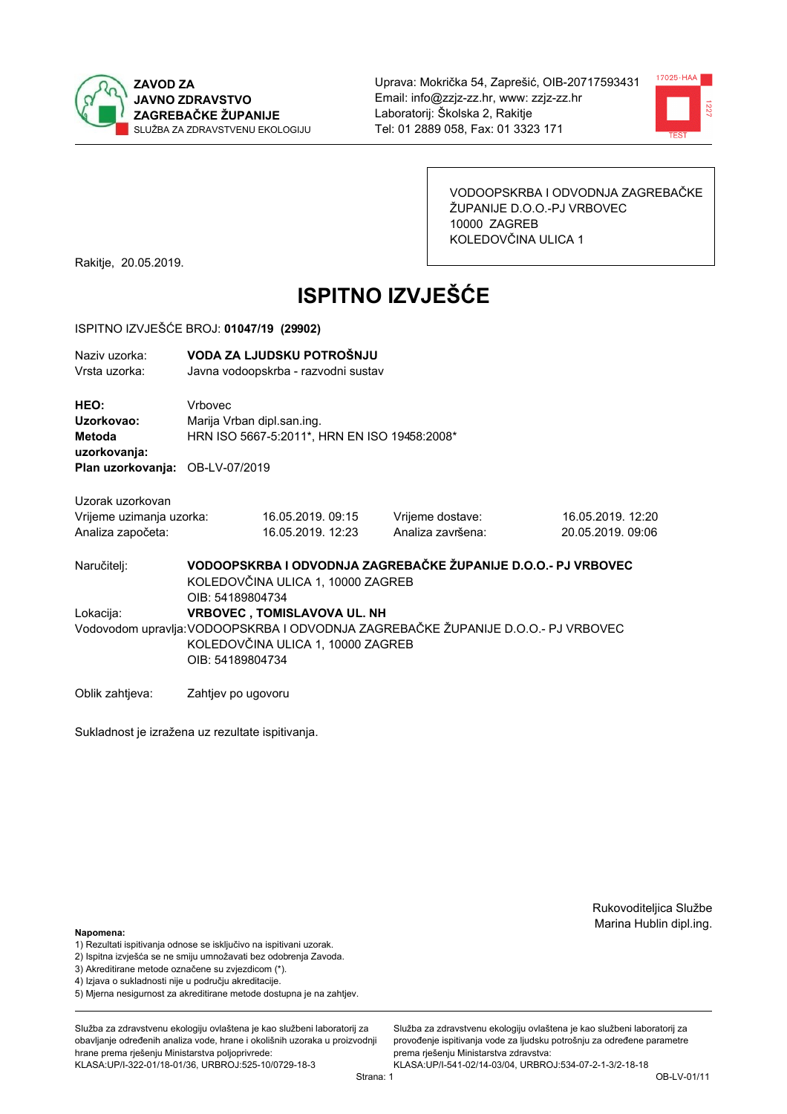



VODOOPSKRBA I ODVODNJA ZAGREBAČKE ŽUPANIJE D.O.O.-PJ VRBOVEC 10000 ZAGREB KOLEDOVČINA ULICA 1

Rakitje, 20.05.2019.

# **ISPITNO IZVJEŠĆE**

#### ISPITNO IZVJEŠĆE BROJ: 01047/19 (29902)

| Naziv uzorka:<br>Vrsta uzorka:                                                                                                                                                                |                                                                                              | VODA ZA LJUDSKU POTROŠNJU<br>Javna vodoopskrba - razvodni sustav |                                                               |                                        |  |
|-----------------------------------------------------------------------------------------------------------------------------------------------------------------------------------------------|----------------------------------------------------------------------------------------------|------------------------------------------------------------------|---------------------------------------------------------------|----------------------------------------|--|
| HEO:<br>Uzorkovao:<br>Metoda<br>uzorkovanja:<br>Plan uzorkovanja: OB-LV-07/2019                                                                                                               | <b>Vrhovec</b><br>Marija Vrban dipl.san.ing.<br>HRN ISO 5667-5:2011*, HRN EN ISO 19458:2008* |                                                                  |                                                               |                                        |  |
| Uzorak uzorkovan<br>Vrijeme uzimanja uzorka:<br>Analiza započeta:                                                                                                                             |                                                                                              | 16.05.2019.09:15<br>16.05.2019. 12:23                            | Vrijeme dostave:<br>Analiza završena:                         | 16.05.2019. 12:20<br>20.05.2019, 09:06 |  |
| Naručitelj:                                                                                                                                                                                   | OIB: 54189804734                                                                             | KOLEDOVČINA ULICA 1, 10000 ZAGREB                                | VODOOPSKRBA I ODVODNJA ZAGREBAČKE ŽUPANIJE D.O.O.- PJ VRBOVEC |                                        |  |
| <b>VRBOVEC, TOMISLAVOVA UL. NH</b><br>Lokacija:<br>Vodovodom upravlja: VODOOPSKRBA I ODVODNJA ZAGREBAČKE ŽUPANIJE D.O.O.- PJ VRBOVEC<br>KOLEDOVČINA ULICA 1, 10000 ZAGREB<br>OIB: 54189804734 |                                                                                              |                                                                  |                                                               |                                        |  |
| Oblik zahtjeva:                                                                                                                                                                               | Zahtjev po ugovoru                                                                           |                                                                  |                                                               |                                        |  |

Sukladnost je izražena uz rezultate ispitivanja.

Rukovoditeljica Službe Marina Hublin dipl.ing.

#### Napomena:

- 1) Rezultati ispitivanja odnose se isključivo na ispitivani uzorak.
- 2) Ispitna izvješća se ne smiju umnožavati bez odobrenja Zavoda.
- 3) Akreditirane metode označene su zvjezdicom (\*).
- 4) Iziava o sukladnosti nije u području akreditacije.
- 5) Mjerna nesigurnost za akreditirane metode dostupna je na zahtjev.

Služba za zdravstvenu ekologiju ovlaštena je kao službeni laboratorij za obavlianie određenih analiza vode, hrane i okolišnih uzoraka u proizvodniji hrane prema rješenju Ministarstva poljoprivrede: KLASA:UP/I-322-01/18-01/36, URBROJ:525-10/0729-18-3

Služba za zdravstvenu ekologiju ovlaštena je kao službeni laboratorij za provođenie ispitivania vode za liudsku potrošniu za određene parametre prema rješenju Ministarstva zdravstva: KLASA:UP/I-541-02/14-03/04, URBROJ:534-07-2-1-3/2-18-18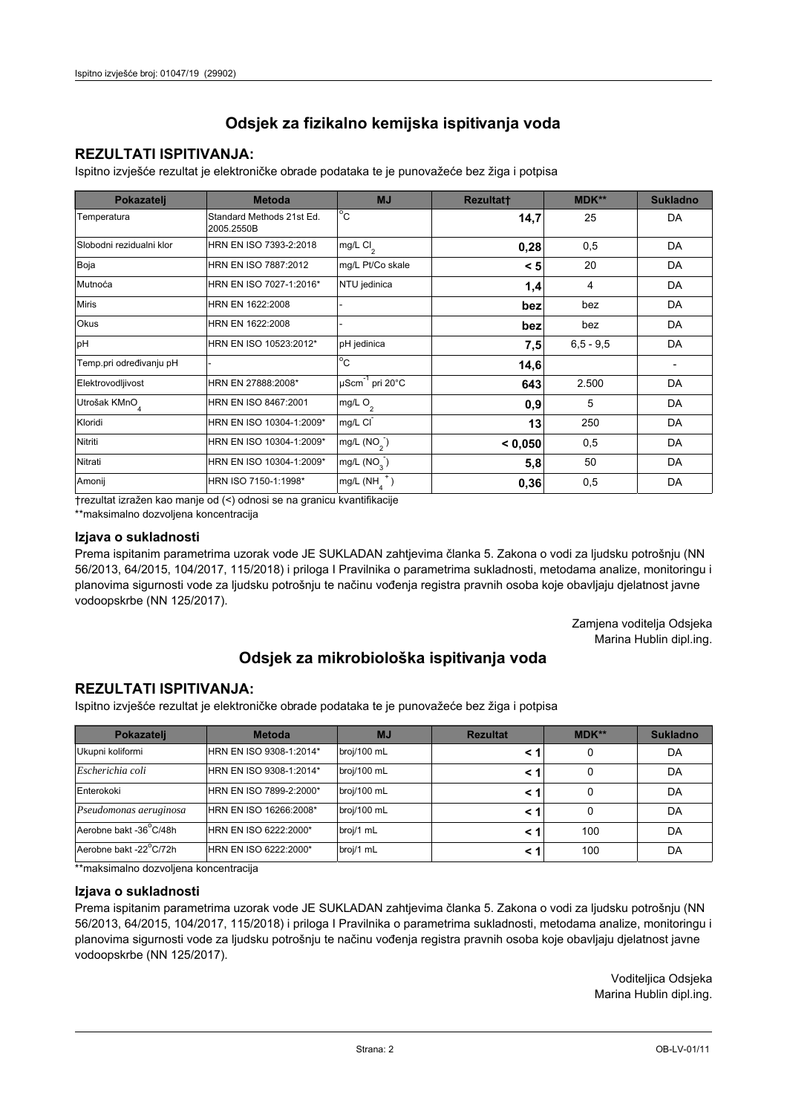## **REZULTATI ISPITIVANJA:**

Ispitno izviešće rezultat je elektroničke obrade podataka te je punovažeće bez žiga i potpisa

| Pokazatelj                | <b>Metoda</b>                           | <b>MJ</b>                   | <b>Rezultatt</b> | <b>MDK**</b>  | <b>Sukladno</b> |
|---------------------------|-----------------------------------------|-----------------------------|------------------|---------------|-----------------|
| Temperatura               | Standard Methods 21st Ed.<br>2005.2550B | $^{\circ}$ C                | 14,7             | 25            | DA              |
| Slobodni rezidualni klor  | HRN EN ISO 7393-2:2018                  | mg/L Cl <sub>2</sub>        | 0,28             | 0,5           | DA              |
| Boja                      | HRN EN ISO 7887:2012                    | mg/L Pt/Co skale            | < 5              | 20            | DA              |
| Mutnoća                   | HRN EN ISO 7027-1:2016*                 | NTU jedinica                | 1,4              | 4             | DA              |
| <b>Miris</b>              | HRN EN 1622:2008                        |                             | bez              | bez           | DA              |
| <b>Okus</b>               | HRN EN 1622:2008                        |                             | bez              | bez           | DA              |
| pH                        | HRN EN ISO 10523:2012*                  | pH jedinica                 | 7,5              | $6, 5 - 9, 5$ | DA              |
| Temp.pri određivanju pH   |                                         | $\overline{C}$              | 14,6             |               |                 |
| Elektrovodljivost         | HRN EN 27888:2008*                      | µScm <sup>-1</sup> pri 20°C | 643              | 2.500         | DA              |
| Utrošak KMnO <sub>4</sub> | HRN EN ISO 8467:2001                    | mg/L O <sub>2</sub>         | 0,9              | 5             | DA              |
| Kloridi                   | HRN EN ISO 10304-1:2009*                | mg/L CI                     | 13               | 250           | DA              |
| Nitriti                   | HRN EN ISO 10304-1:2009*                | mg/L $(NO2)$                | < 0,050          | 0,5           | DA              |
| Nitrati                   | HRN EN ISO 10304-1:2009*                | mg/L (NO <sub>3</sub> )     | 5,8              | 50            | DA              |
| Amonij                    | HRN ISO 7150-1:1998*                    | mg/L (NH                    | 0,36             | 0,5           | DA              |

trezultat izražen kao manje od (<) odnosi se na granicu kvantifikacije

\*\*maksimalno dozvoljena koncentracija

#### Izjava o sukladnosti

Prema ispitanim parametrima uzorak vode JE SUKLADAN zahtievima članka 5. Zakona o vodi za ljudsku potrošnju (NN 56/2013, 64/2015, 104/2017, 115/2018) i priloga I Pravilnika o parametrima sukladnosti, metodama analize, monitoringu i planovima sigurnosti vode za ljudsku potrošnju te načinu vođenja registra pravnih osoba koje obavljaju djelatnost javne vodoopskrbe (NN 125/2017).

> Zamjena voditelja Odsjeka Marina Hublin dipl.ing.

## Odsjek za mikrobiološka ispitivanja voda

## **REZULTATI ISPITIVANJA:**

Ispitno izvješće rezultat je elektroničke obrade podataka te je punovažeće bez žiga i potpisa

| Pokazatelj             | <b>Metoda</b>           | <b>MJ</b>   | <b>Rezultat</b> | $MDK**$ | <b>Sukladno</b> |
|------------------------|-------------------------|-------------|-----------------|---------|-----------------|
| Ukupni koliformi       | HRN EN ISO 9308-1:2014* | broj/100 mL |                 | 0       | DA              |
| Escherichia coli       | HRN EN ISO 9308-1:2014* | broj/100 mL |                 | 0       | DA              |
| Enterokoki             | HRN EN ISO 7899-2:2000* | broj/100 mL |                 | 0       | DA              |
| Pseudomonas aeruginosa | HRN EN ISO 16266:2008*  | broj/100 mL | < 1             | 0       | DA              |
| Aerobne bakt -36 C/48h | HRN EN ISO 6222:2000*   | broj/1 mL   |                 | 100     | DA              |
| Aerobne bakt -22°C/72h | HRN EN ISO 6222:2000*   | broj/1 mL   |                 | 100     | DA              |

\*\*maksimalno dozvoljena koncentracija

#### Izjava o sukladnosti

Prema ispitanim parametrima uzorak vode JE SUKLADAN zahtjevima članka 5. Zakona o vodi za ljudsku potrošnju (NN 56/2013, 64/2015, 104/2017, 115/2018) i priloga I Pravilnika o parametrima sukladnosti, metodama analize, monitoringu i planovima sigurnosti vode za ljudsku potrošnju te načinu vođenja registra pravnih osoba koje obavljaju djelatnost javne vodoopskrbe (NN 125/2017).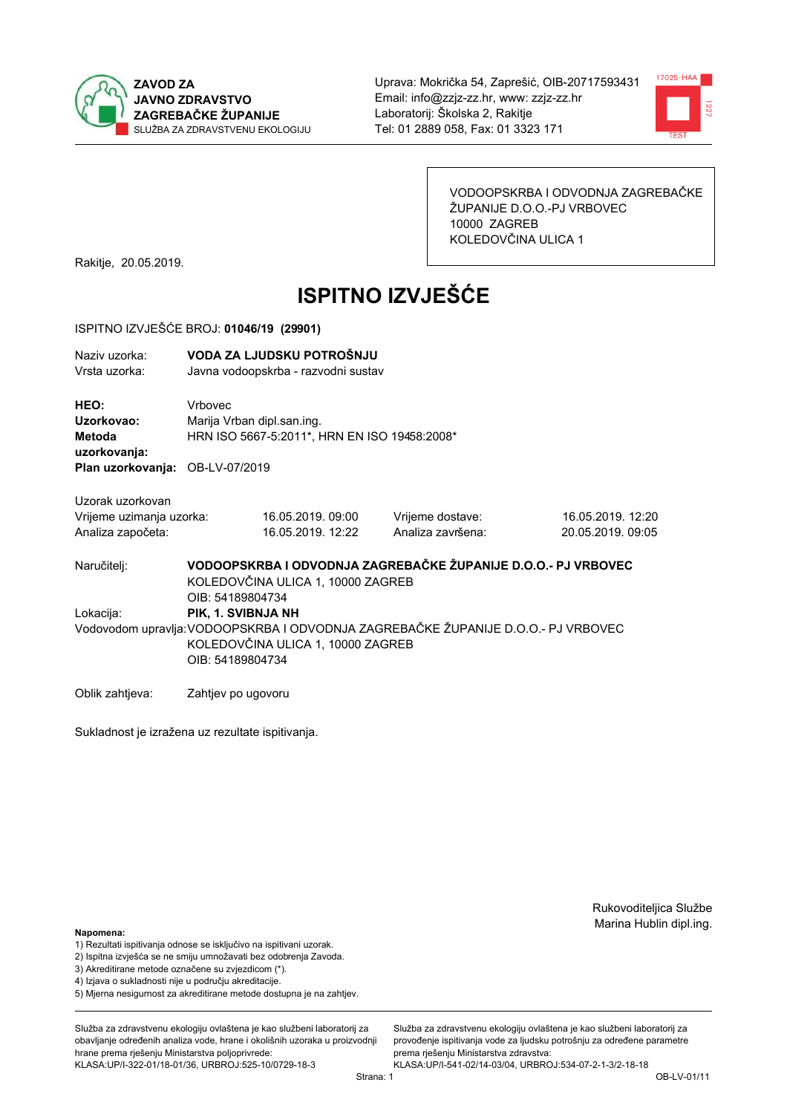



VODOOPSKRBA I ODVODNJA ZAGREBAČKE ŽUPANIJE D.O.O.-PJ VRBOVEC 10000 ZAGREB KOLEDOVČINA ULICA 1

Rakitje, 20.05.2019.

# **ISPITNO IZVJEŠĆE**

#### ISPITNO IZVJEŠĆE BROJ: 01046/19 (29901)

| Naziv uzorka:<br>Vrsta uzorka:                                    |                                       | VODA ZA LJUDSKU POTROŠNJU<br>Javna vodoopskrba - razvodni sustav                                                                                                 |                                                               |                                        |  |  |
|-------------------------------------------------------------------|---------------------------------------|------------------------------------------------------------------------------------------------------------------------------------------------------------------|---------------------------------------------------------------|----------------------------------------|--|--|
| HEO:<br>Uzorkovao:<br>Metoda<br>uzorkovanja:                      | Vrbovec<br>Marija Vrban dipl.san.ing. | HRN ISO 5667-5:2011*, HRN EN ISO 19458:2008*                                                                                                                     |                                                               |                                        |  |  |
| Plan uzorkovanja: OB-LV-07/2019                                   |                                       |                                                                                                                                                                  |                                                               |                                        |  |  |
| Uzorak uzorkovan<br>Vrijeme uzimanja uzorka:<br>Analiza započeta: |                                       | 16.05.2019.09:00<br>16.05.2019. 12:22                                                                                                                            | Vrijeme dostave:<br>Analiza završena:                         | 16.05.2019. 12:20<br>20.05.2019, 09:05 |  |  |
| Naručitelj:                                                       | OIB: 54189804734                      | KOLEDOVČINA ULICA 1, 10000 ZAGREB                                                                                                                                | VODOOPSKRBA I ODVODNJA ZAGREBAČKE ŽUPANIJE D.O.O.- PJ VRBOVEC |                                        |  |  |
| Lokacija:                                                         |                                       | PIK, 1. SVIBNJA NH<br>Vodovodom upravlja: VODOOPSKRBA I ODVODNJA ZAGREBAČKE ŽUPANIJE D.O.O.- PJ VRBOVEC<br>KOLEDOVČINA ULICA 1, 10000 ZAGREB<br>OIB: 54189804734 |                                                               |                                        |  |  |
| Oblik zahtjeva:                                                   | Zahtjev po ugovoru                    |                                                                                                                                                                  |                                                               |                                        |  |  |

Sukladnost je izražena uz rezultate ispitivanja.

Rukovoditeljica Službe Marina Hublin dipl.ing.

#### Napomena:

- 1) Rezultati ispitivanja odnose se isključivo na ispitivani uzorak.
- 2) Ispitna izvješća se ne smiju umnožavati bez odobrenja Zavoda.
- 3) Akreditirane metode označene su zvjezdicom (\*).
- 4) Iziava o sukladnosti nije u području akreditacije.
- 5) Mjerna nesigurnost za akreditirane metode dostupna je na zahtjev.

Služba za zdravstvenu ekologiju ovlaštena je kao službeni laboratorij za obavlianie određenih analiza vode, hrane i okolišnih uzoraka u proizvodniji hrane prema rješenju Ministarstva poljoprivrede: KLASA:UP/I-322-01/18-01/36, URBROJ:525-10/0729-18-3

Služba za zdravstvenu ekologiju ovlaštena je kao službeni laboratorij za provođenie ispitivania vode za liudsku potrošniu za određene parametre prema rješenju Ministarstva zdravstva: KLASA:UP/I-541-02/14-03/04, URBROJ:534-07-2-1-3/2-18-18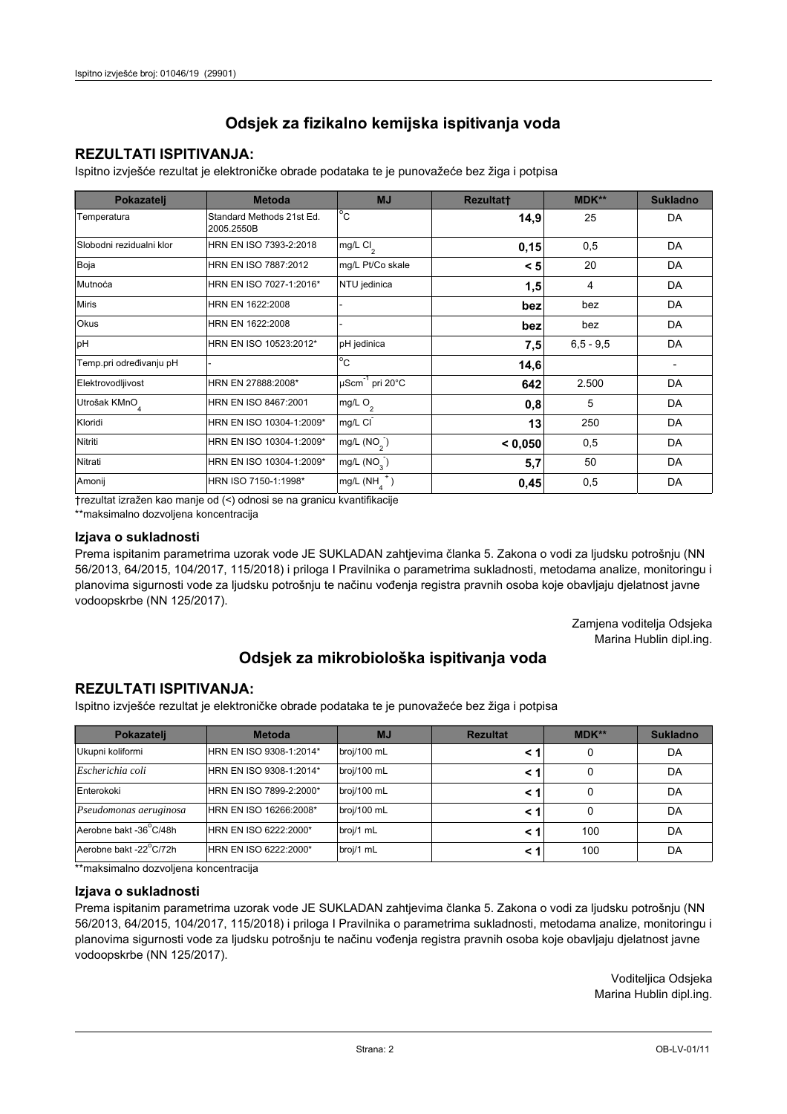## **REZULTATI ISPITIVANJA:**

Ispitno izviešće rezultat je elektroničke obrade podataka te je punovažeće bez žiga i potpisa

| Pokazatelj                | <b>Metoda</b>                           | <b>MJ</b>               | <b>Rezultatt</b> | <b>MDK**</b>  | <b>Sukladno</b> |
|---------------------------|-----------------------------------------|-------------------------|------------------|---------------|-----------------|
| Temperatura               | Standard Methods 21st Ed.<br>2005.2550B | $^{\circ}$ C            | 14,9             | 25            | DA              |
| Slobodni rezidualni klor  | HRN EN ISO 7393-2:2018                  | $mg/L$ Cl <sub>2</sub>  | 0,15             | 0,5           | DA              |
| Boja                      | HRN EN ISO 7887:2012                    | mg/L Pt/Co skale        | < 5              | 20            | DA              |
| Mutnoća                   | HRN EN ISO 7027-1:2016*                 | NTU jedinica            | 1,5              | 4             | DA              |
| <b>Miris</b>              | HRN EN 1622:2008                        |                         | bez              | bez           | DA              |
| Okus                      | HRN EN 1622:2008                        |                         | bez              | bez           | DA              |
| pH                        | HRN EN ISO 10523:2012*                  | pH jedinica             | 7,5              | $6, 5 - 9, 5$ | DA              |
| Temp.pri određivanju pH   |                                         | $^{\circ}$ C            | 14,6             |               |                 |
| Elektrovodljivost         | HRN EN 27888:2008*                      | µScm-1 pri 20°C         | 642              | 2.500         | DA              |
| Utrošak KMnO <sub>4</sub> | HRN EN ISO 8467:2001                    | mg/L $O2$               | 0,8              | 5             | DA              |
| Kloridi                   | HRN EN ISO 10304-1:2009*                | mg/L CI                 | 13               | 250           | DA              |
| Nitriti                   | HRN EN ISO 10304-1:2009*                | mg/L $(NO2)$            | < 0.050          | 0,5           | DA              |
| Nitrati                   | HRN EN ISO 10304-1:2009*                | mg/L (NO <sub>3</sub> ) | 5,7              | 50            | DA              |
| Amonij                    | HRN ISO 7150-1:1998*                    | mg/L (NH                | 0,45             | 0,5           | DA              |

trezultat izražen kao manje od (<) odnosi se na granicu kvantifikacije

\*\*maksimalno dozvoljena koncentracija

#### Izjava o sukladnosti

Prema ispitanim parametrima uzorak vode JE SUKLADAN zahtievima članka 5. Zakona o vodi za ljudsku potrošnju (NN 56/2013, 64/2015, 104/2017, 115/2018) i priloga I Pravilnika o parametrima sukladnosti, metodama analize, monitoringu i planovima sigurnosti vode za ljudsku potrošnju te načinu vođenja registra pravnih osoba koje obavljaju djelatnost javne vodoopskrbe (NN 125/2017).

> Zamjena voditelja Odsjeka Marina Hublin dipl.ing.

## Odsjek za mikrobiološka ispitivanja voda

## **REZULTATI ISPITIVANJA:**

Ispitno izvješće rezultat je elektroničke obrade podataka te je punovažeće bez žiga i potpisa

| Pokazatelj             | <b>Metoda</b>           | <b>MJ</b>   | <b>Rezultat</b> | $MDK**$ | <b>Sukladno</b> |
|------------------------|-------------------------|-------------|-----------------|---------|-----------------|
| Ukupni koliformi       | HRN EN ISO 9308-1:2014* | broj/100 mL |                 | 0       | DA              |
| Escherichia coli       | HRN EN ISO 9308-1:2014* | broj/100 mL |                 | 0       | DA              |
| Enterokoki             | HRN EN ISO 7899-2:2000* | broj/100 mL |                 | 0       | DA              |
| Pseudomonas aeruginosa | HRN EN ISO 16266:2008*  | broj/100 mL | < 1             | 0       | DA              |
| Aerobne bakt -36 C/48h | HRN EN ISO 6222:2000*   | broj/1 mL   |                 | 100     | DA              |
| Aerobne bakt -22°C/72h | HRN EN ISO 6222:2000*   | broj/1 mL   |                 | 100     | DA              |

\*\*maksimalno dozvoljena koncentracija

#### Izjava o sukladnosti

Prema ispitanim parametrima uzorak vode JE SUKLADAN zahtjevima članka 5. Zakona o vodi za ljudsku potrošnju (NN 56/2013, 64/2015, 104/2017, 115/2018) i priloga I Pravilnika o parametrima sukladnosti, metodama analize, monitoringu i planovima sigurnosti vode za ljudsku potrošnju te načinu vođenja registra pravnih osoba koje obavljaju djelatnost javne vodoopskrbe (NN 125/2017).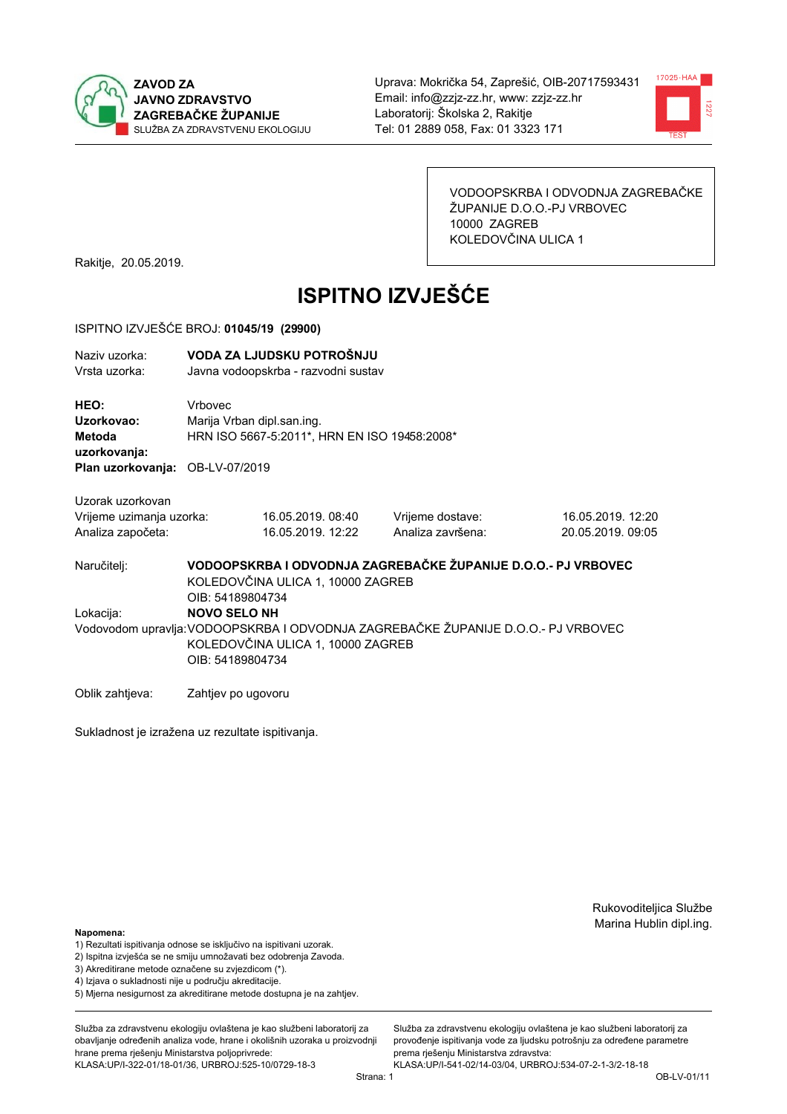



VODOOPSKRBA I ODVODNJA ZAGREBAČKE ŽUPANIJE D.O.O.-PJ VRBOVEC 10000 ZAGREB KOLEDOVČINA ULICA 1

Rakitje, 20.05.2019.

# **ISPITNO IZVJEŠĆE**

#### ISPITNO IZVJEŠĆE BROJ: 01045/19 (29900)

| Naziv uzorka:<br>Vrsta uzorka:                                    |                    | VODA ZA LJUDSKU POTROŠNJU<br>Javna vodoopskrba - razvodni sustav                                                                                                                      |                                                               |                                        |  |  |  |
|-------------------------------------------------------------------|--------------------|---------------------------------------------------------------------------------------------------------------------------------------------------------------------------------------|---------------------------------------------------------------|----------------------------------------|--|--|--|
| HEO:<br>Uzorkovao:<br><b>Metoda</b><br>uzorkovanja:               | Vrbovec            | Marija Vrban dipl.san.ing.<br>HRN ISO 5667-5:2011*, HRN EN ISO 19458:2008*                                                                                                            |                                                               |                                        |  |  |  |
| Plan uzorkovanja: OB-LV-07/2019                                   |                    |                                                                                                                                                                                       |                                                               |                                        |  |  |  |
| Uzorak uzorkovan<br>Vrijeme uzimanja uzorka:<br>Analiza započeta: |                    | 16.05.2019.08:40<br>16.05.2019. 12:22                                                                                                                                                 | Vrijeme dostave:<br>Analiza završena:                         | 16.05.2019. 12:20<br>20.05.2019, 09:05 |  |  |  |
| Naručitelj:                                                       |                    | KOLEDOVČINA ULICA 1, 10000 ZAGREB                                                                                                                                                     | VODOOPSKRBA I ODVODNJA ZAGREBAČKE ŽUPANIJE D.O.O.- PJ VRBOVEC |                                        |  |  |  |
| Lokacija:                                                         |                    | OIB: 54189804734<br><b>NOVO SELO NH</b><br>Vodovodom upravlja: VODOOPSKRBA I ODVODNJA ZAGREBAČKE ŽUPANIJE D.O.O.- PJ VRBOVEC<br>KOLEDOVČINA ULICA 1, 10000 ZAGREB<br>OIB: 54189804734 |                                                               |                                        |  |  |  |
| Oblik zahtieva:                                                   | Zahtjev po ugovoru |                                                                                                                                                                                       |                                                               |                                        |  |  |  |

Sukladnost je izražena uz rezultate ispitivanja.

Rukovoditeljica Službe Marina Hublin dipl.ing.

#### Napomena:

- 1) Rezultati ispitivanja odnose se isključivo na ispitivani uzorak.
- 2) Ispitna izvješća se ne smiju umnožavati bez odobrenja Zavoda.
- 3) Akreditirane metode označene su zvjezdicom (\*).
- 4) Iziava o sukladnosti nije u području akreditacije.
- 5) Mjerna nesigurnost za akreditirane metode dostupna je na zahtjev.

Služba za zdravstvenu ekologiju ovlaštena je kao službeni laboratorij za obavlianie određenih analiza vode, hrane i okolišnih uzoraka u proizvodniji hrane prema rješenju Ministarstva poljoprivrede: KLASA:UP/I-322-01/18-01/36, URBROJ:525-10/0729-18-3

Služba za zdravstvenu ekologiju ovlaštena je kao službeni laboratorij za provođenie ispitivania vode za liudsku potrošniu za određene parametre prema rješenju Ministarstva zdravstva: KLASA:UP/I-541-02/14-03/04, URBROJ:534-07-2-1-3/2-18-18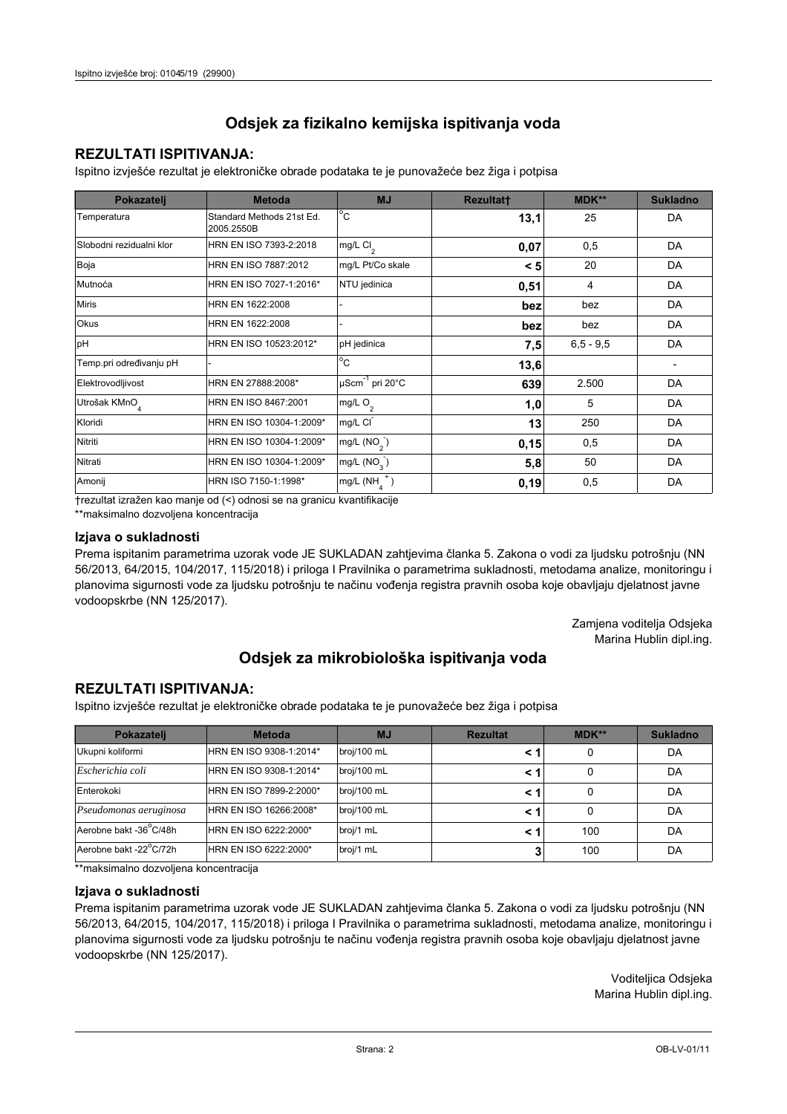### **REZULTATI ISPITIVANJA:**

Ispitno izviešće rezultat je elektroničke obrade podataka te je punovažeće bez žiga i potpisa

| Pokazatelj                | <b>Metoda</b>                           | <b>MJ</b>               | <b>Rezultatt</b> | <b>MDK**</b>  | <b>Sukladno</b> |
|---------------------------|-----------------------------------------|-------------------------|------------------|---------------|-----------------|
| Temperatura               | Standard Methods 21st Ed.<br>2005.2550B | $^{\circ}$ C            | 13,1             | 25            | DA              |
| Slobodni rezidualni klor  | HRN EN ISO 7393-2:2018                  | $mg/L$ Cl <sub>2</sub>  | 0,07             | 0,5           | DA              |
| Boja                      | HRN EN ISO 7887:2012                    | mg/L Pt/Co skale        | < 5              | 20            | DA              |
| Mutnoća                   | HRN EN ISO 7027-1:2016*                 | NTU jedinica            | 0,51             | 4             | DA              |
| <b>Miris</b>              | HRN EN 1622:2008                        |                         | bez              | bez           | DA              |
| Okus                      | HRN EN 1622:2008                        |                         | bez              | bez           | DA              |
| pH                        | HRN EN ISO 10523:2012*                  | pH jedinica             | 7,5              | $6, 5 - 9, 5$ | DA              |
| Temp.pri određivanju pH   |                                         | $^{\circ}$ C            | 13,6             |               |                 |
| Elektrovodljivost         | HRN EN 27888:2008*                      | µScm-1 pri 20°C         | 639              | 2.500         | DA              |
| Utrošak KMnO <sub>4</sub> | HRN EN ISO 8467:2001                    | mg/L O <sub>2</sub>     | 1,0              | 5             | DA              |
| Kloridi                   | HRN EN ISO 10304-1:2009*                | mg/L CI                 | 13               | 250           | DA              |
| Nitriti                   | HRN EN ISO 10304-1:2009*                | mg/L $(NO2)$            | 0,15             | 0,5           | DA              |
| Nitrati                   | HRN EN ISO 10304-1:2009*                | mg/L (NO <sub>3</sub> ) | 5,8              | 50            | DA              |
| Amonij                    | HRN ISO 7150-1:1998*                    | mg/L (NH                | 0,19             | 0,5           | DA              |

trezultat izražen kao manje od (<) odnosi se na granicu kvantifikacije

\*\*maksimalno dozvoljena koncentracija

#### Izjava o sukladnosti

Prema ispitanim parametrima uzorak vode JE SUKLADAN zahtievima članka 5. Zakona o vodi za ljudsku potrošnju (NN 56/2013, 64/2015, 104/2017, 115/2018) i priloga I Pravilnika o parametrima sukladnosti, metodama analize, monitoringu i planovima sigurnosti vode za ljudsku potrošnju te načinu vođenja registra pravnih osoba koje obavljaju djelatnost javne vodoopskrbe (NN 125/2017).

> Zamjena voditelja Odsjeka Marina Hublin dipl.ing.

## Odsjek za mikrobiološka ispitivanja voda

### **REZULTATI ISPITIVANJA:**

Ispitno izvješće rezultat je elektroničke obrade podataka te je punovažeće bez žiga i potpisa

| Pokazatelj             | <b>Metoda</b>           | <b>MJ</b>   | <b>Rezultat</b> | $MDK**$ | <b>Sukladno</b> |
|------------------------|-------------------------|-------------|-----------------|---------|-----------------|
| Ukupni koliformi       | HRN EN ISO 9308-1:2014* | broj/100 mL |                 | 0       | DA              |
| Escherichia coli       | HRN EN ISO 9308-1:2014* | broj/100 mL |                 | 0       | DA              |
| Enterokoki             | HRN EN ISO 7899-2:2000* | broj/100 mL |                 | 0       | DA              |
| Pseudomonas aeruginosa | HRN EN ISO 16266:2008*  | broj/100 mL | < 1             | 0       | DA              |
| Aerobne bakt -36 C/48h | HRN EN ISO 6222:2000*   | broj/1 mL   |                 | 100     | DA              |
| Aerobne bakt -22°C/72h | HRN EN ISO 6222:2000*   | broj/1 mL   |                 | 100     | DA              |

\*\*maksimalno dozvoljena koncentracija

#### Izjava o sukladnosti

Prema ispitanim parametrima uzorak vode JE SUKLADAN zahtjevima članka 5. Zakona o vodi za ljudsku potrošnju (NN 56/2013, 64/2015, 104/2017, 115/2018) i priloga I Pravilnika o parametrima sukladnosti, metodama analize, monitoringu i planovima sigurnosti vode za ljudsku potrošnju te načinu vođenja registra pravnih osoba koje obavljaju djelatnost javne vodoopskrbe (NN 125/2017).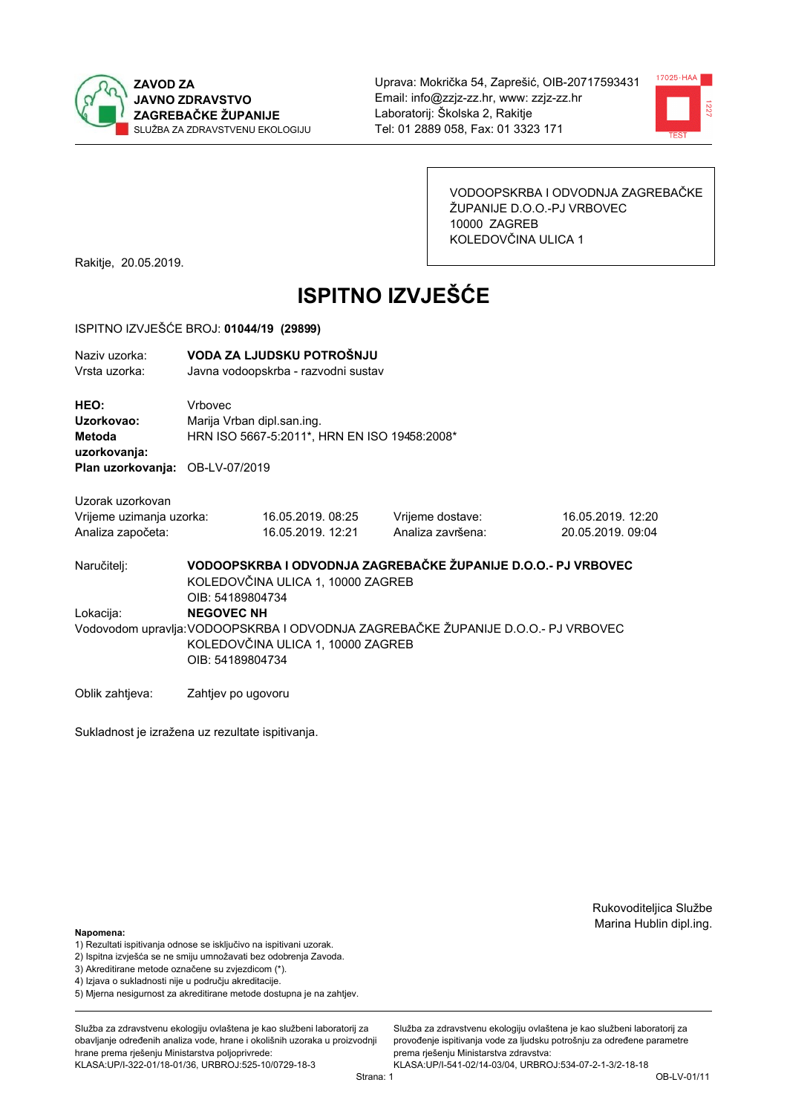



VODOOPSKRBA I ODVODNJA ZAGREBAČKE ŽUPANIJE D.O.O.-PJ VRBOVEC 10000 ZAGREB KOLEDOVČINA ULICA 1

Rakitje, 20.05.2019.

# **ISPITNO IZVJEŠĆE**

#### ISPITNO IZVJEŠĆE BROJ: 01044/19 (29899)

| Naziv uzorka:<br>Vrsta uzorka:                                    |                    | VODA ZA LJUDSKU POTROŠNJU<br>Javna vodoopskrba - razvodni sustav                                                                                                                    |                                                               |                                        |  |  |  |
|-------------------------------------------------------------------|--------------------|-------------------------------------------------------------------------------------------------------------------------------------------------------------------------------------|---------------------------------------------------------------|----------------------------------------|--|--|--|
| HEO:<br>Uzorkovao:<br><b>Metoda</b><br>uzorkovanja:               | Vrbovec            | Marija Vrban dipl.san.ing.<br>HRN ISO 5667-5:2011*, HRN EN ISO 19458:2008*                                                                                                          |                                                               |                                        |  |  |  |
| Plan uzorkovanja: OB-LV-07/2019                                   |                    |                                                                                                                                                                                     |                                                               |                                        |  |  |  |
| Uzorak uzorkovan<br>Vrijeme uzimanja uzorka:<br>Analiza započeta: |                    | 16.05.2019.08:25<br>16.05.2019. 12:21                                                                                                                                               | Vrijeme dostave:<br>Analiza završena:                         | 16.05.2019. 12:20<br>20.05.2019, 09:04 |  |  |  |
| Naručitelj:                                                       |                    | KOLEDOVČINA ULICA 1, 10000 ZAGREB                                                                                                                                                   | VODOOPSKRBA I ODVODNJA ZAGREBAČKE ŽUPANIJE D.O.O.- PJ VRBOVEC |                                        |  |  |  |
| Lokacija:                                                         |                    | OIB: 54189804734<br><b>NEGOVEC NH</b><br>Vodovodom upravlja: VODOOPSKRBA I ODVODNJA ZAGREBAČKE ŽUPANIJE D.O.O.- PJ VRBOVEC<br>KOLEDOVČINA ULICA 1, 10000 ZAGREB<br>OIB: 54189804734 |                                                               |                                        |  |  |  |
| Oblik zahtieva:                                                   | Zahtjev po ugovoru |                                                                                                                                                                                     |                                                               |                                        |  |  |  |

Sukladnost je izražena uz rezultate ispitivanja.

Rukovoditeljica Službe Marina Hublin dipl.ing.

#### Napomena:

- 1) Rezultati ispitivanja odnose se isključivo na ispitivani uzorak.
- 2) Ispitna izvješća se ne smiju umnožavati bez odobrenja Zavoda.
- 3) Akreditirane metode označene su zvjezdicom (\*).
- 4) Iziava o sukladnosti nije u području akreditacije.
- 5) Mjerna nesigurnost za akreditirane metode dostupna je na zahtjev.

Služba za zdravstvenu ekologiju ovlaštena je kao službeni laboratorij za obavlianie određenih analiza vode, hrane i okolišnih uzoraka u proizvodniji hrane prema rješenju Ministarstva poljoprivrede: KLASA:UP/I-322-01/18-01/36, URBROJ:525-10/0729-18-3

Služba za zdravstvenu ekologiju ovlaštena je kao službeni laboratorij za provođenie ispitivania vode za liudsku potrošniu za određene parametre prema rješenju Ministarstva zdravstva: KLASA:UP/I-541-02/14-03/04, URBROJ:534-07-2-1-3/2-18-18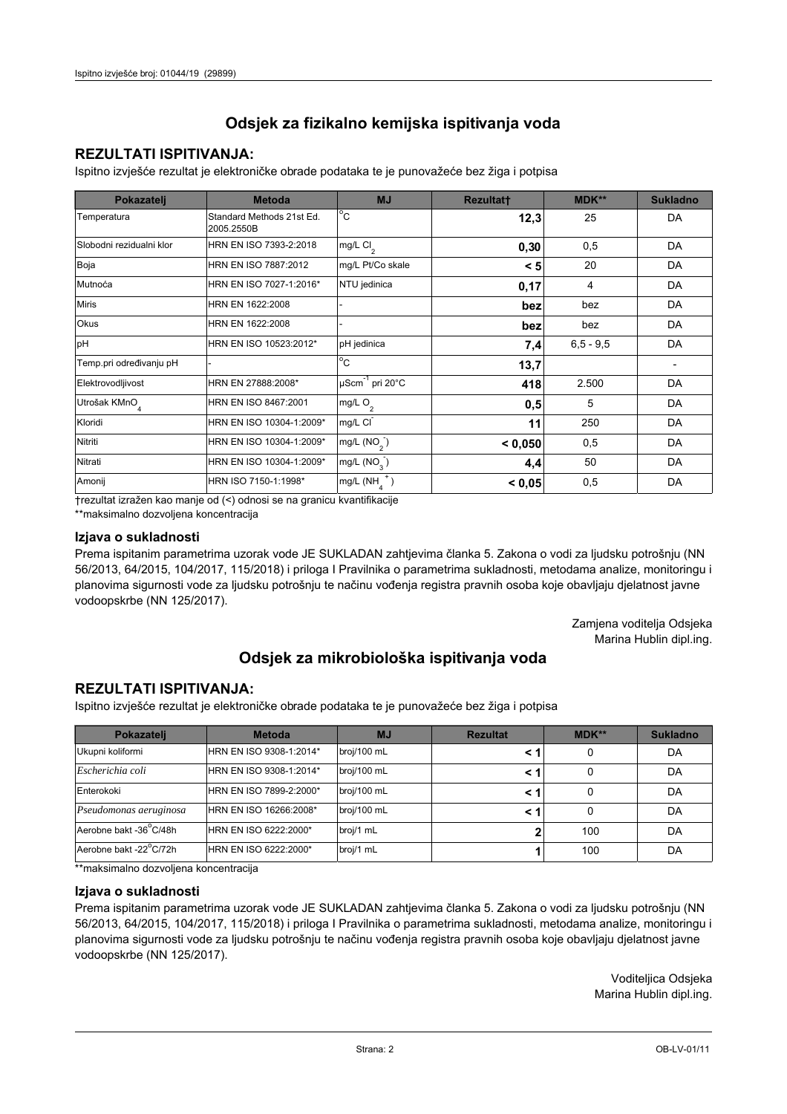## **REZULTATI ISPITIVANJA:**

Ispitno izviešće rezultat je elektroničke obrade podataka te je punovažeće bez žiga i potpisa

| Pokazatelj                | <b>Metoda</b>                           | <b>MJ</b>                   | <b>Rezultatt</b> | <b>MDK**</b>  | <b>Sukladno</b> |
|---------------------------|-----------------------------------------|-----------------------------|------------------|---------------|-----------------|
| Temperatura               | Standard Methods 21st Ed.<br>2005.2550B | $^{\circ}$ C                | 12,3             | 25            | DA              |
| Slobodni rezidualni klor  | HRN EN ISO 7393-2:2018                  | mg/L Cl <sub>2</sub>        | 0,30             | 0,5           | DA              |
| Boja                      | HRN EN ISO 7887:2012                    | mg/L Pt/Co skale            | < 5              | 20            | DA              |
| Mutnoća                   | HRN EN ISO 7027-1:2016*                 | NTU jedinica                | 0,17             | 4             | DA              |
| <b>Miris</b>              | HRN EN 1622:2008                        |                             | bez              | bez           | DA              |
| <b>Okus</b>               | HRN EN 1622:2008                        |                             | bez              | bez           | DA              |
| pH                        | HRN EN ISO 10523:2012*                  | pH jedinica                 | 7,4              | $6, 5 - 9, 5$ | DA              |
| Temp.pri određivanju pH   |                                         | $\overline{C}$              | 13,7             |               |                 |
| Elektrovodljivost         | HRN EN 27888:2008*                      | µScm <sup>-1</sup> pri 20°C | 418              | 2.500         | DA              |
| Utrošak KMnO <sub>4</sub> | HRN EN ISO 8467:2001                    | mg/L O <sub>2</sub>         | 0,5              | 5             | DA              |
| Kloridi                   | HRN EN ISO 10304-1:2009*                | mg/L CI                     | 11               | 250           | DA              |
| Nitriti                   | HRN EN ISO 10304-1:2009*                | mg/L $(NO2)$                | < 0.050          | 0,5           | DA              |
| Nitrati                   | HRN EN ISO 10304-1:2009*                | mg/L (NO <sub>3</sub> )     | 4,4              | 50            | DA              |
| Amonij                    | HRN ISO 7150-1:1998*                    | mg/L (NH                    | < 0,05           | 0,5           | DA              |

trezultat izražen kao manje od (<) odnosi se na granicu kvantifikacije

\*\*maksimalno dozvoljena koncentracija

#### Izjava o sukladnosti

Prema ispitanim parametrima uzorak vode JE SUKLADAN zahtievima članka 5. Zakona o vodi za ljudsku potrošnju (NN 56/2013, 64/2015, 104/2017, 115/2018) i priloga I Pravilnika o parametrima sukladnosti, metodama analize, monitoringu i planovima sigurnosti vode za ljudsku potrošnju te načinu vođenja registra pravnih osoba koje obavljaju djelatnost javne vodoopskrbe (NN 125/2017).

> Zamjena voditelja Odsjeka Marina Hublin dipl.ing.

## Odsjek za mikrobiološka ispitivanja voda

## **REZULTATI ISPITIVANJA:**

Ispitno izvješće rezultat je elektroničke obrade podataka te je punovažeće bez žiga i potpisa

| Pokazatelj             | <b>Metoda</b>           | <b>MJ</b>   | <b>Rezultat</b> | $MDK**$ | <b>Sukladno</b> |
|------------------------|-------------------------|-------------|-----------------|---------|-----------------|
| Ukupni koliformi       | HRN EN ISO 9308-1:2014* | broj/100 mL |                 | 0       | DA              |
| Escherichia coli       | HRN EN ISO 9308-1:2014* | broj/100 mL |                 | 0       | DA              |
| Enterokoki             | HRN EN ISO 7899-2:2000* | broj/100 mL |                 | 0       | DA              |
| Pseudomonas aeruginosa | HRN EN ISO 16266:2008*  | broj/100 mL | < 1             | 0       | DA              |
| Aerobne bakt -36 C/48h | HRN EN ISO 6222:2000*   | broj/1 mL   |                 | 100     | DA              |
| Aerobne bakt -22°C/72h | HRN EN ISO 6222:2000*   | broj/1 mL   |                 | 100     | DA              |

\*\*maksimalno dozvoljena koncentracija

#### Izjava o sukladnosti

Prema ispitanim parametrima uzorak vode JE SUKLADAN zahtjevima članka 5. Zakona o vodi za ljudsku potrošnju (NN 56/2013, 64/2015, 104/2017, 115/2018) i priloga I Pravilnika o parametrima sukladnosti, metodama analize, monitoringu i planovima sigurnosti vode za ljudsku potrošnju te načinu vođenja registra pravnih osoba koje obavljaju djelatnost javne vodoopskrbe (NN 125/2017).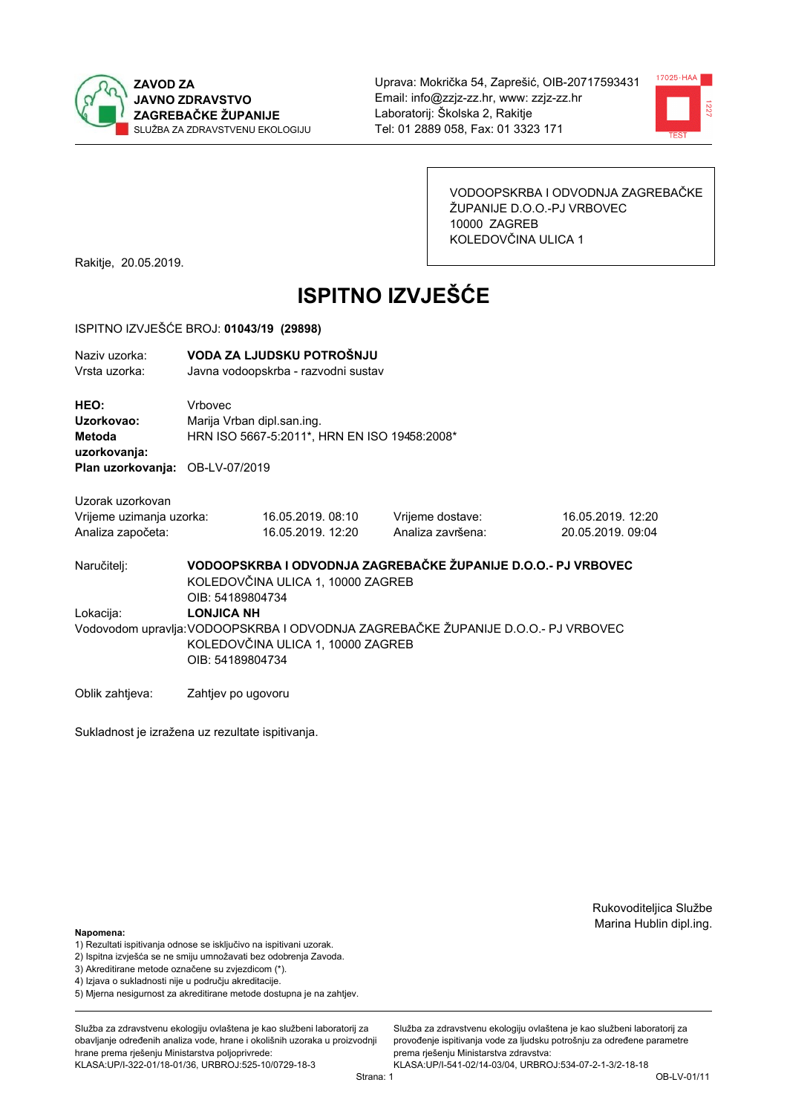



VODOOPSKRBA I ODVODNJA ZAGREBAČKE ŽUPANIJE D.O.O.-PJ VRBOVEC 10000 ZAGREB KOLEDOVČINA ULICA 1

Rakitje, 20.05.2019.

# **ISPITNO IZVJEŠĆE**

#### ISPITNO IZVJEŠĆE BROJ: 01043/19 (29898)

| Naziv uzorka:<br>Vrsta uzorka:                                    | VODA ZA LJUDSKU POTROŠNJU<br>Javna vodoopskrba - razvodni sustav                                                                                                |                                       |                                       |                                        |  |  |
|-------------------------------------------------------------------|-----------------------------------------------------------------------------------------------------------------------------------------------------------------|---------------------------------------|---------------------------------------|----------------------------------------|--|--|
| HEO:<br>Uzorkovao:<br>Metoda<br>uzorkovanja:                      | Vrbovec<br>Marija Vrban dipl.san.ing.<br>HRN ISO 5667-5:2011*, HRN EN ISO 19458:2008*                                                                           |                                       |                                       |                                        |  |  |
| Plan uzorkovanja: OB-LV-07/2019                                   |                                                                                                                                                                 |                                       |                                       |                                        |  |  |
| Uzorak uzorkovan<br>Vrijeme uzimanja uzorka:<br>Analiza započeta: |                                                                                                                                                                 | 16.05.2019.08:10<br>16.05.2019. 12:20 | Vrijeme dostave:<br>Analiza završena: | 16.05.2019. 12:20<br>20.05.2019. 09:04 |  |  |
| Naručitelj:                                                       | VODOOPSKRBA I ODVODNJA ZAGREBAČKE ŽUPANIJE D.O.O.- PJ VRBOVEC<br>KOLEDOVČINA ULICA 1, 10000 ZAGREB<br>OIB: 54189804734                                          |                                       |                                       |                                        |  |  |
| Lokacija:                                                         | <b>LONJICA NH</b><br>Vodovodom upravlja: VODOOPSKRBA I ODVODNJA ZAGREBAČKE ŽUPANIJE D.O.O.- PJ VRBOVEC<br>KOLEDOVČINA ULICA 1, 10000 ZAGREB<br>OIB: 54189804734 |                                       |                                       |                                        |  |  |
| Oblik zahtieva:                                                   | Zahtjev po ugovoru                                                                                                                                              |                                       |                                       |                                        |  |  |

Sukladnost je izražena uz rezultate ispitivanja.

Rukovoditeljica Službe Marina Hublin dipl.ing.

#### Napomena:

- 1) Rezultati ispitivanja odnose se isključivo na ispitivani uzorak.
- 2) Ispitna izvješća se ne smiju umnožavati bez odobrenja Zavoda.
- 3) Akreditirane metode označene su zvjezdicom (\*).
- 4) Iziava o sukladnosti nije u području akreditacije.
- 5) Mjerna nesigurnost za akreditirane metode dostupna je na zahtjev.

Služba za zdravstvenu ekologiju ovlaštena je kao službeni laboratorij za obavlianie određenih analiza vode, hrane i okolišnih uzoraka u proizvodniji hrane prema rješenju Ministarstva poljoprivrede: KLASA:UP/I-322-01/18-01/36, URBROJ:525-10/0729-18-3

Služba za zdravstvenu ekologiju ovlaštena je kao službeni laboratorij za provođenie ispitivania vode za liudsku potrošniu za određene parametre prema rješenju Ministarstva zdravstva: KLASA:UP/I-541-02/14-03/04, URBROJ:534-07-2-1-3/2-18-18